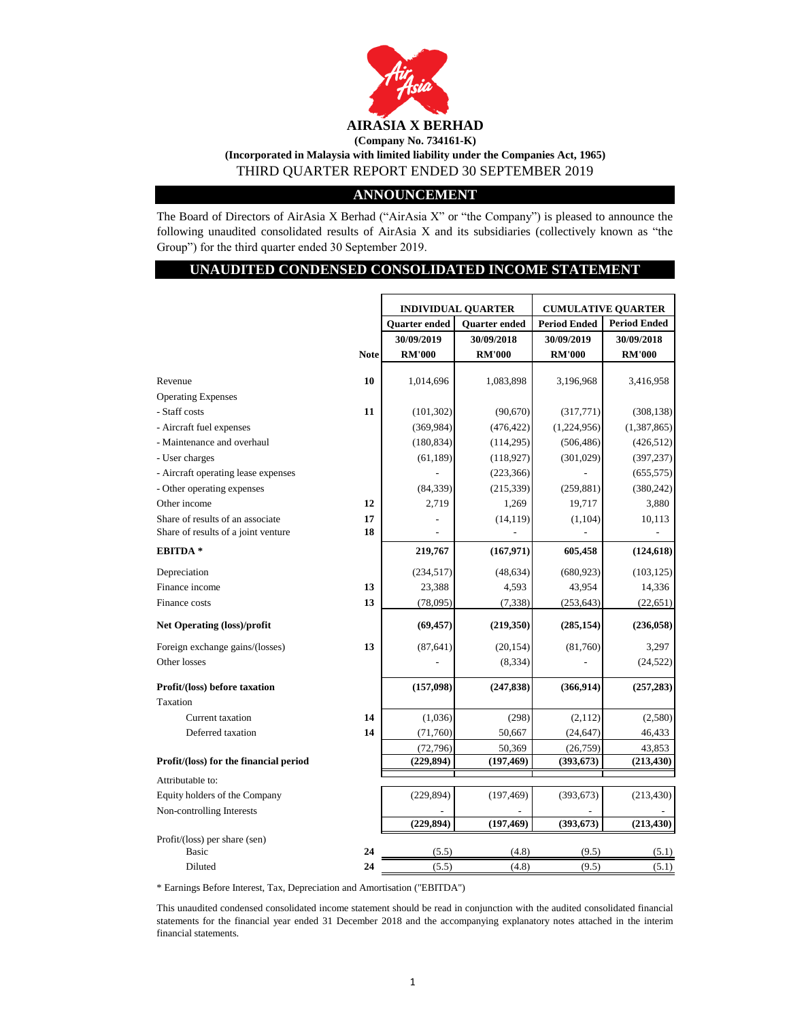

### **ANNOUNCEMENT**

The Board of Directors of AirAsia X Berhad ("AirAsia X" or "the Company") is pleased to announce the following unaudited consolidated results of AirAsia X and its subsidiaries (collectively known as "the Group") for the third quarter ended 30 September 2019.

## **UNAUDITED CONDENSED CONSOLIDATED INCOME STATEMENT**

|                                        |             | <b>INDIVIDUAL QUARTER</b> |               | <b>CUMULATIVE QUARTER</b> |                     |
|----------------------------------------|-------------|---------------------------|---------------|---------------------------|---------------------|
|                                        |             | Quarter ended             | Quarter ended | <b>Period Ended</b>       | <b>Period Ended</b> |
|                                        |             | 30/09/2019                | 30/09/2018    | 30/09/2019                | 30/09/2018          |
|                                        | <b>Note</b> | <b>RM'000</b>             | <b>RM'000</b> | <b>RM'000</b>             | <b>RM'000</b>       |
|                                        |             |                           |               |                           |                     |
| Revenue                                | 10          | 1,014,696                 | 1,083,898     | 3,196,968                 | 3,416,958           |
| <b>Operating Expenses</b>              |             |                           |               |                           |                     |
| - Staff costs                          | 11          | (101, 302)                | (90, 670)     | (317,771)                 | (308, 138)          |
| - Aircraft fuel expenses               |             | (369, 984)                | (476, 422)    | (1,224,956)               | (1, 387, 865)       |
| - Maintenance and overhaul             |             | (180, 834)                | (114, 295)    | (506, 486)                | (426, 512)          |
| - User charges                         |             | (61, 189)                 | (118, 927)    | (301, 029)                | (397, 237)          |
| - Aircraft operating lease expenses    |             |                           | (223, 366)    |                           | (655, 575)          |
| - Other operating expenses             |             | (84, 339)                 | (215, 339)    | (259, 881)                | (380, 242)          |
| Other income                           | 12          | 2,719                     | 1,269         | 19,717                    | 3,880               |
| Share of results of an associate       | 17          |                           | (14, 119)     | (1,104)                   | 10,113              |
| Share of results of a joint venture    | 18          |                           |               |                           |                     |
| <b>EBITDA*</b>                         |             | 219,767                   | (167, 971)    | 605,458                   | (124, 618)          |
| Depreciation                           |             | (234, 517)                | (48, 634)     | (680, 923)                | (103, 125)          |
| Finance income                         | 13          | 23,388                    | 4,593         | 43,954                    | 14,336              |
| Finance costs                          | 13          | (78,095)                  | (7, 338)      | (253, 643)                | (22, 651)           |
| <b>Net Operating (loss)/profit</b>     |             | (69, 457)                 | (219,350)     | (285, 154)                | (236, 058)          |
| Foreign exchange gains/(losses)        | 13          | (87, 641)                 | (20, 154)     | (81,760)                  | 3,297               |
| Other losses                           |             |                           | (8, 334)      |                           | (24, 522)           |
| Profit/(loss) before taxation          |             | (157,098)                 | (247, 838)    | (366, 914)                | (257, 283)          |
| Taxation                               |             |                           |               |                           |                     |
| Current taxation                       | 14          | (1,036)                   | (298)         | (2,112)                   | (2,580)             |
| Deferred taxation                      | 14          | (71,760)                  | 50,667        | (24, 647)                 | 46,433              |
|                                        |             | (72, 796)                 | 50,369        | (26,759)                  | 43,853              |
| Profit/(loss) for the financial period |             | (229, 894)                | (197, 469)    | (393, 673)                | (213, 430)          |
| Attributable to:                       |             |                           |               |                           |                     |
| Equity holders of the Company          |             | (229, 894)                | (197, 469)    | (393, 673)                | (213, 430)          |
| Non-controlling Interests              |             |                           |               |                           |                     |
|                                        |             | (229, 894)                | (197, 469)    | (393, 673)                | (213, 430)          |
| Profit/(loss) per share (sen)          |             |                           |               |                           |                     |
| Basic                                  | 24          | (5.5)                     | (4.8)         | (9.5)                     | (5.1)               |
| Diluted                                | 24          | (5.5)                     | (4.8)         | (9.5)                     | (5.1)               |

\* Earnings Before Interest, Tax, Depreciation and Amortisation ("EBITDA")

This unaudited condensed consolidated income statement should be read in conjunction with the audited consolidated financial statements for the financial year ended 31 December 2018 and the accompanying explanatory notes attached in the interim financial statements.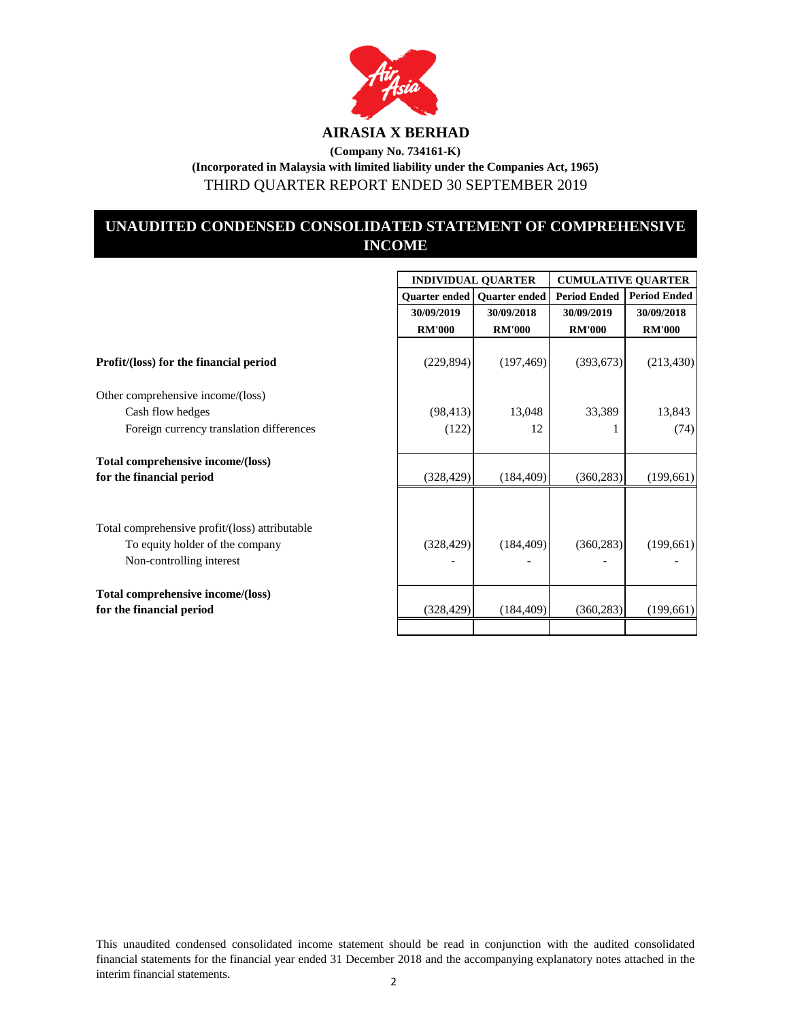

THIRD QUARTER REPORT ENDED 30 SEPTEMBER 2019

## **UNAUDITED CONDENSED CONSOLIDATED STATEMENT OF COMPREHENSIVE INCOME**

|                                                                                                               |               | <b>INDIVIDUAL QUARTER</b>            | <b>CUMULATIVE QUARTER</b> |                     |  |
|---------------------------------------------------------------------------------------------------------------|---------------|--------------------------------------|---------------------------|---------------------|--|
|                                                                                                               |               | <b>Quarter ended   Quarter ended</b> | <b>Period Ended</b>       | <b>Period Ended</b> |  |
|                                                                                                               | 30/09/2019    | 30/09/2018                           | 30/09/2019                | 30/09/2018          |  |
|                                                                                                               | <b>RM'000</b> | <b>RM'000</b>                        | <b>RM'000</b>             | <b>RM'000</b>       |  |
| Profit/(loss) for the financial period                                                                        | (229, 894)    | (197, 469)                           | (393, 673)                | (213, 430)          |  |
| Other comprehensive income/(loss)                                                                             |               |                                      |                           |                     |  |
| Cash flow hedges                                                                                              | (98, 413)     | 13,048                               | 33,389                    | 13,843              |  |
| Foreign currency translation differences                                                                      | (122)         | 12                                   |                           | (74)                |  |
| Total comprehensive income/(loss)<br>for the financial period                                                 | (328, 429)    | (184, 409)                           | (360, 283)                | (199,661)           |  |
| Total comprehensive profit/(loss) attributable<br>To equity holder of the company<br>Non-controlling interest | (328, 429)    | (184, 409)                           | (360, 283)                | (199,661)           |  |
| Total comprehensive income/(loss)<br>for the financial period                                                 | (328, 429)    | (184, 409)                           | (360, 283)                | (199,661)           |  |
|                                                                                                               |               |                                      |                           |                     |  |

This unaudited condensed consolidated income statement should be read in conjunction with the audited consolidated financial statements for the financial year ended 31 December 2018 and the accompanying explanatory notes attached in the interim financial statements. 2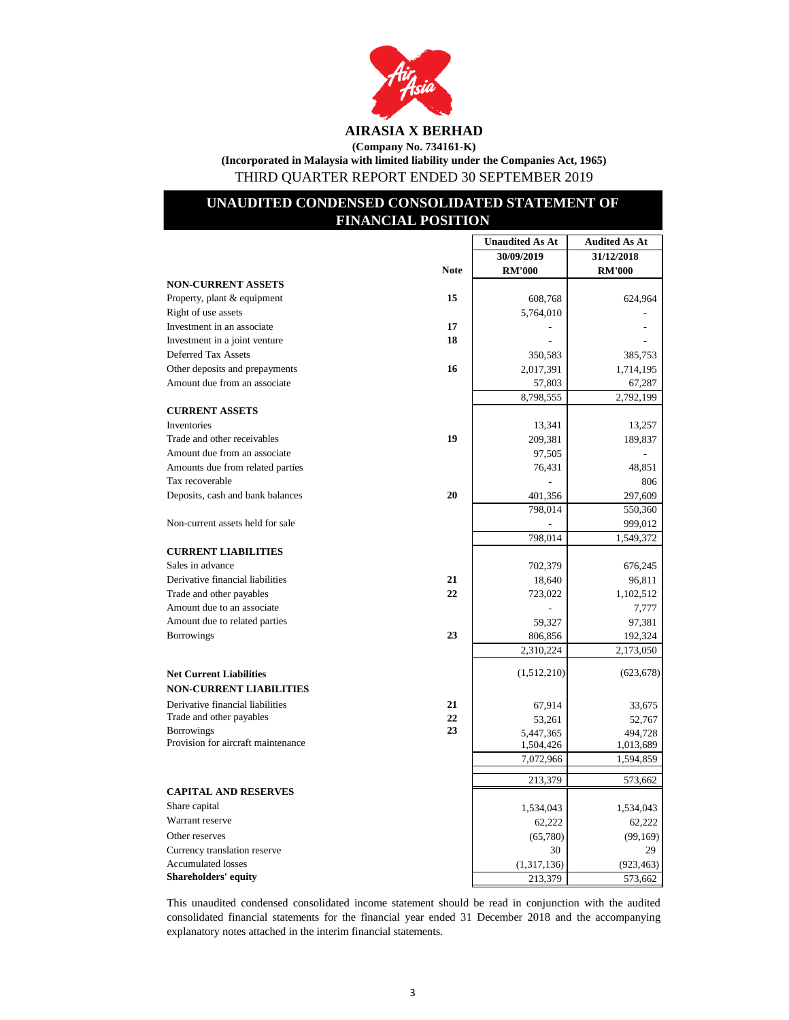

# **(Company No. 734161-K)**

**(Incorporated in Malaysia with limited liability under the Companies Act, 1965)** THIRD QUARTER REPORT ENDED 30 SEPTEMBER 2019

## **UNAUDITED CONDENSED CONSOLIDATED STATEMENT OF FINANCIAL POSITION**

|                                                         |             | <b>Unaudited As At</b> | <b>Audited As At</b> |
|---------------------------------------------------------|-------------|------------------------|----------------------|
|                                                         |             | 30/09/2019             | 31/12/2018           |
|                                                         | <b>Note</b> | <b>RM'000</b>          | <b>RM'000</b>        |
| <b>NON-CURRENT ASSETS</b>                               |             |                        |                      |
| Property, plant & equipment                             | 15          | 608,768                | 624,964              |
| Right of use assets                                     |             | 5,764,010              |                      |
| Investment in an associate                              | 17          |                        |                      |
| Investment in a joint venture                           | 18          |                        |                      |
| Deferred Tax Assets                                     |             | 350,583                | 385,753              |
| Other deposits and prepayments                          | 16          | 2,017,391              | 1,714,195            |
| Amount due from an associate                            |             | 57,803                 | 67,287               |
|                                                         |             | 8,798,555              | 2,792,199            |
| <b>CURRENT ASSETS</b>                                   |             |                        |                      |
| Inventories                                             |             | 13,341                 | 13,257               |
| Trade and other receivables                             | 19          | 209,381                | 189,837              |
| Amount due from an associate                            |             | 97,505                 |                      |
| Amounts due from related parties                        |             | 76,431                 | 48,851               |
| Tax recoverable                                         |             |                        | 806                  |
| Deposits, cash and bank balances                        | 20          | 401,356                | 297,609              |
|                                                         |             | 798,014                | 550,360              |
| Non-current assets held for sale                        |             |                        | 999,012              |
|                                                         |             | 798,014                | 1,549,372            |
| <b>CURRENT LIABILITIES</b>                              |             |                        |                      |
| Sales in advance                                        |             | 702,379                | 676,245              |
| Derivative financial liabilities                        | 21          | 18,640                 | 96,811               |
| Trade and other payables                                | 22          | 723,022                | 1,102,512            |
| Amount due to an associate                              |             |                        | 7,777                |
| Amount due to related parties                           |             | 59,327                 | 97,381               |
| <b>Borrowings</b>                                       | 23          | 806,856                | 192,324              |
|                                                         |             | 2,310,224              | 2,173,050            |
|                                                         |             |                        |                      |
| <b>Net Current Liabilities</b>                          |             | (1,512,210)            | (623, 678)           |
| <b>NON-CURRENT LIABILITIES</b>                          |             |                        |                      |
| Derivative financial liabilities                        | 21          | 67,914                 | 33,675               |
| Trade and other payables                                | 22          | 53,261                 | 52,767               |
| <b>Borrowings</b><br>Provision for aircraft maintenance | 23          | 5,447,365              | 494,728              |
|                                                         |             | 1,504,426              | 1,013,689            |
|                                                         |             | 7,072,966              | 1,594,859            |
|                                                         |             | 213,379                | 573,662              |
| <b>CAPITAL AND RESERVES</b>                             |             |                        |                      |
| Share capital                                           |             | 1,534,043              | 1,534,043            |
| Warrant reserve                                         |             | 62,222                 | 62,222               |
| Other reserves                                          |             | (65,780)               | (99, 169)            |
| Currency translation reserve                            |             | 30                     | 29                   |
| <b>Accumulated losses</b>                               |             | (1,317,136)            | (923, 463)           |
| <b>Shareholders' equity</b>                             |             | 213,379                | 573,662              |

This unaudited condensed consolidated income statement should be read in conjunction with the audited consolidated financial statements for the financial year ended 31 December 2018 and the accompanying explanatory notes attached in the interim financial statements.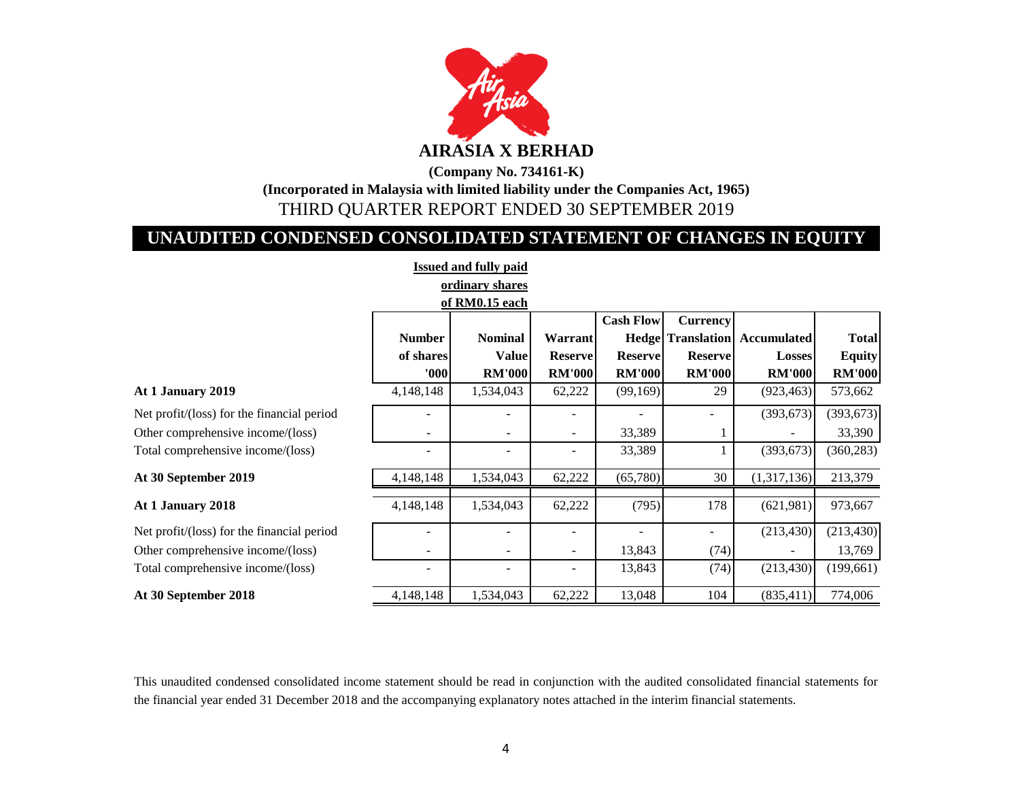

# **UNAUDITED CONDENSED CONSOLIDATED STATEMENT OF CHANGES IN EQUITY**

| <b>Issued and fully paid</b>               |               |                          |                          |                  |                 |                                      |               |  |
|--------------------------------------------|---------------|--------------------------|--------------------------|------------------|-----------------|--------------------------------------|---------------|--|
|                                            |               | ordinary shares          |                          |                  |                 |                                      |               |  |
| of RM0.15 each                             |               |                          |                          |                  |                 |                                      |               |  |
|                                            |               |                          |                          | <b>Cash Flow</b> | <b>Currency</b> |                                      |               |  |
|                                            | <b>Number</b> | <b>Nominal</b>           | <b>Warrant</b>           |                  |                 | <b>Hedge Translation Accumulated</b> | <b>Total</b>  |  |
|                                            | of shares     | <b>Value</b>             | <b>Reserve</b>           | <b>Reserve</b>   | <b>Reserve</b>  | <b>Losses</b>                        | <b>Equity</b> |  |
|                                            | 000           | <b>RM'000</b>            | <b>RM'000</b>            | <b>RM'000</b>    | <b>RM'000</b>   | <b>RM'000</b>                        | <b>RM'000</b> |  |
| At 1 January 2019                          | 4,148,148     | 1,534,043                | 62,222                   | (99,169)         | 29              | (923, 463)                           | 573,662       |  |
| Net profit/(loss) for the financial period |               |                          |                          |                  |                 | (393, 673)                           | (393, 673)    |  |
| Other comprehensive income/(loss)          | -             | $\overline{\phantom{a}}$ | $\overline{\phantom{a}}$ | 33,389           |                 |                                      | 33,390        |  |
| Total comprehensive income/(loss)          |               |                          |                          | 33,389           |                 | (393, 673)                           | (360, 283)    |  |
| At 30 September 2019                       | 4,148,148     | 1,534,043                | 62,222                   | (65,780)         | 30              | (1,317,136)                          | 213,379       |  |
| At 1 January 2018                          | 4,148,148     | 1,534,043                | 62,222                   | (795)            | 178             | (621,981)                            | 973,667       |  |
| Net profit/(loss) for the financial period |               |                          |                          |                  | -               | (213, 430)                           | (213, 430)    |  |
| Other comprehensive income/(loss)          |               |                          | $\overline{\phantom{a}}$ | 13,843           | (74)            |                                      | 13,769        |  |
| Total comprehensive income/(loss)          | ۰             |                          |                          | 13,843           | (74)            | (213, 430)                           | (199, 661)    |  |
| At 30 September 2018                       | 4,148,148     | 1,534,043                | 62,222                   | 13,048           | 104             | (835, 411)                           | 774,006       |  |

This unaudited condensed consolidated income statement should be read in conjunction with the audited consolidated financial statements for the financial year ended 31 December 2018 and the accompanying explanatory notes attached in the interim financial statements.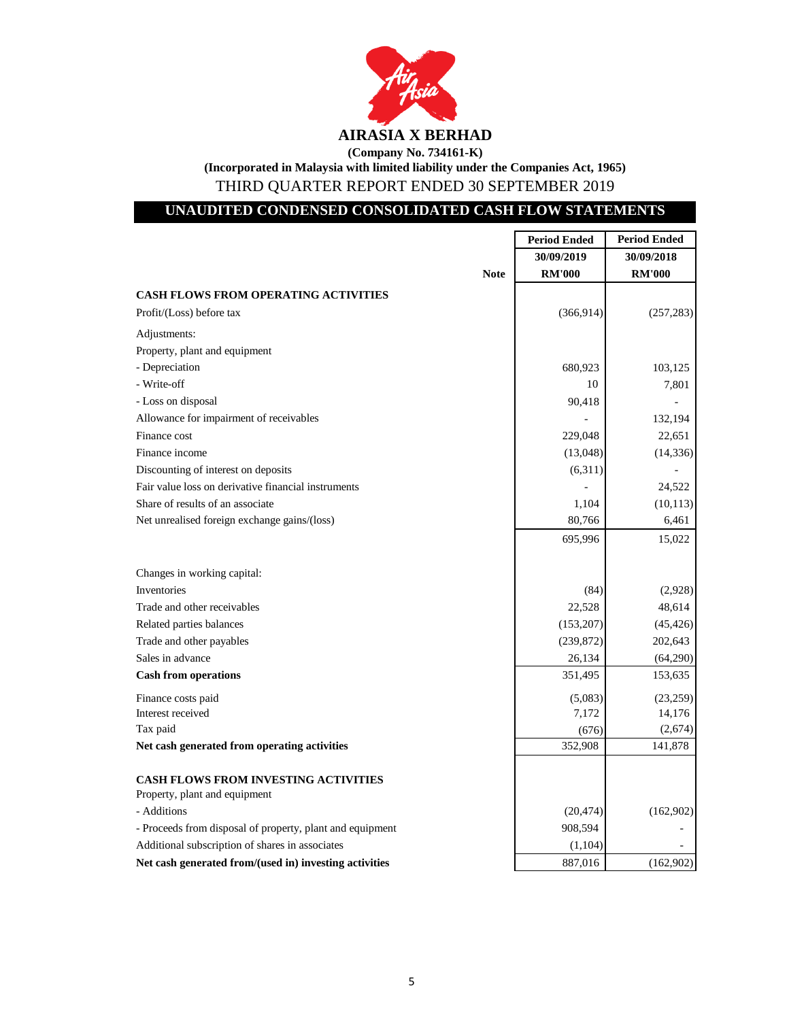

THIRD QUARTER REPORT ENDED 30 SEPTEMBER 2019

## **UNAUDITED CONDENSED CONSOLIDATED CASH FLOW STATEMENTS**

|                                                           | <b>Period Ended</b> | <b>Period Ended</b> |
|-----------------------------------------------------------|---------------------|---------------------|
|                                                           | 30/09/2019          | 30/09/2018          |
| <b>Note</b>                                               | <b>RM'000</b>       | <b>RM'000</b>       |
| <b>CASH FLOWS FROM OPERATING ACTIVITIES</b>               |                     |                     |
| Profit/(Loss) before tax                                  | (366, 914)          | (257, 283)          |
| Adjustments:                                              |                     |                     |
| Property, plant and equipment                             |                     |                     |
| - Depreciation                                            | 680,923             | 103,125             |
| - Write-off                                               | 10                  | 7,801               |
| - Loss on disposal                                        | 90,418              |                     |
| Allowance for impairment of receivables                   |                     | 132,194             |
| Finance cost                                              | 229,048             | 22,651              |
| Finance income                                            | (13,048)            | (14, 336)           |
| Discounting of interest on deposits                       | (6,311)             |                     |
| Fair value loss on derivative financial instruments       |                     | 24,522              |
| Share of results of an associate                          | 1,104               | (10, 113)           |
| Net unrealised foreign exchange gains/(loss)              | 80,766              | 6,461               |
|                                                           | 695,996             | 15,022              |
|                                                           |                     |                     |
| Changes in working capital:                               |                     |                     |
| Inventories                                               | (84)                | (2,928)             |
| Trade and other receivables                               | 22,528              | 48,614              |
| Related parties balances                                  | (153,207)           | (45, 426)           |
| Trade and other payables                                  | (239, 872)          | 202,643             |
| Sales in advance                                          | 26,134              | (64,290)            |
| <b>Cash from operations</b>                               | 351,495             | 153,635             |
| Finance costs paid                                        | (5,083)             | (23,259)            |
| Interest received                                         | 7,172               | 14,176              |
| Tax paid                                                  | (676)               | (2,674)             |
| Net cash generated from operating activities              | 352,908             | 141,878             |
|                                                           |                     |                     |
| <b>CASH FLOWS FROM INVESTING ACTIVITIES</b>               |                     |                     |
| Property, plant and equipment                             |                     |                     |
| - Additions                                               | (20, 474)           | (162,902)           |
| - Proceeds from disposal of property, plant and equipment | 908,594             |                     |
| Additional subscription of shares in associates           | (1,104)             |                     |
| Net cash generated from/(used in) investing activities    | 887,016             | (162,902)           |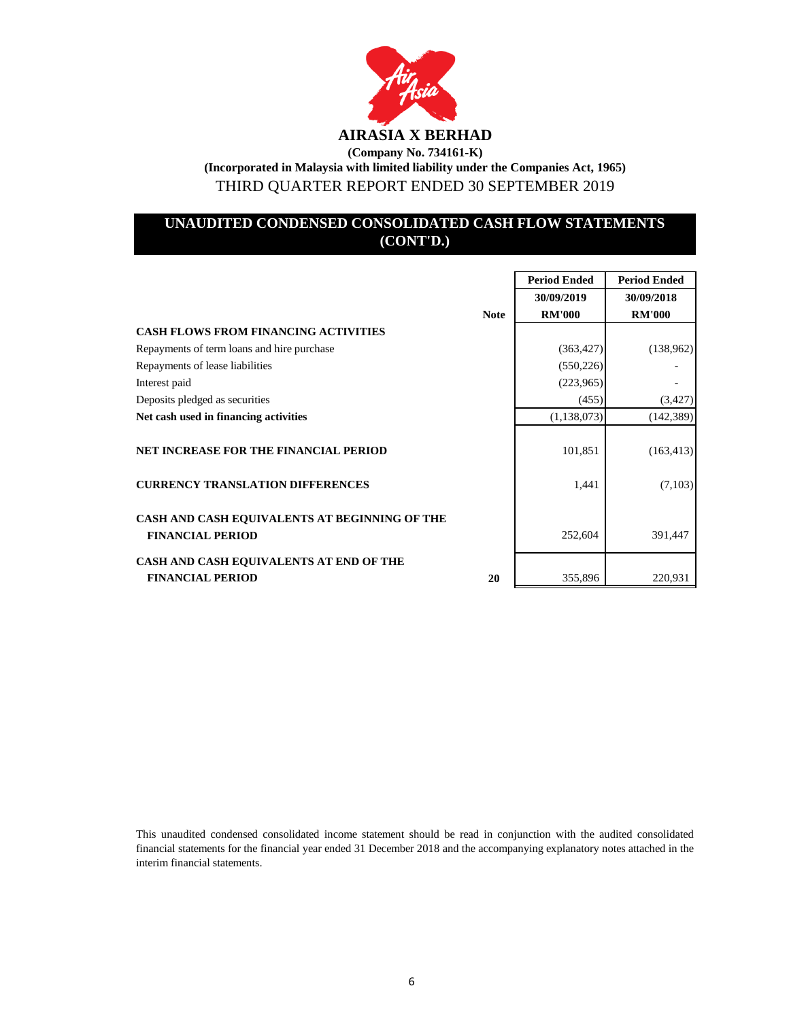

## **UNAUDITED CONDENSED CONSOLIDATED CASH FLOW STATEMENTS (CONT'D.)**

|                                               | <b>Period Ended</b> | <b>Period Ended</b> |
|-----------------------------------------------|---------------------|---------------------|
|                                               | 30/09/2019          | 30/09/2018          |
| <b>Note</b>                                   | <b>RM'000</b>       | <b>RM'000</b>       |
| <b>CASH FLOWS FROM FINANCING ACTIVITIES</b>   |                     |                     |
| Repayments of term loans and hire purchase    | (363, 427)          | (138,962)           |
| Repayments of lease liabilities               | (550, 226)          |                     |
| Interest paid                                 | (223,965)           |                     |
| Deposits pledged as securities                | (455)               | (3,427)             |
| Net cash used in financing activities         | (1, 138, 073)       | (142, 389)          |
|                                               |                     |                     |
| <b>NET INCREASE FOR THE FINANCIAL PERIOD</b>  | 101,851             | (163, 413)          |
|                                               |                     |                     |
| <b>CURRENCY TRANSLATION DIFFERENCES</b>       | 1,441               | (7,103)             |
|                                               |                     |                     |
| CASH AND CASH EQUIVALENTS AT BEGINNING OF THE |                     |                     |
| <b>FINANCIAL PERIOD</b>                       | 252,604             | 391,447             |
| CASH AND CASH EQUIVALENTS AT END OF THE       |                     |                     |
| <b>FINANCIAL PERIOD</b><br>20                 | 355,896             | 220,931             |

This unaudited condensed consolidated income statement should be read in conjunction with the audited consolidated financial statements for the financial year ended 31 December 2018 and the accompanying explanatory notes attached in the interim financial statements.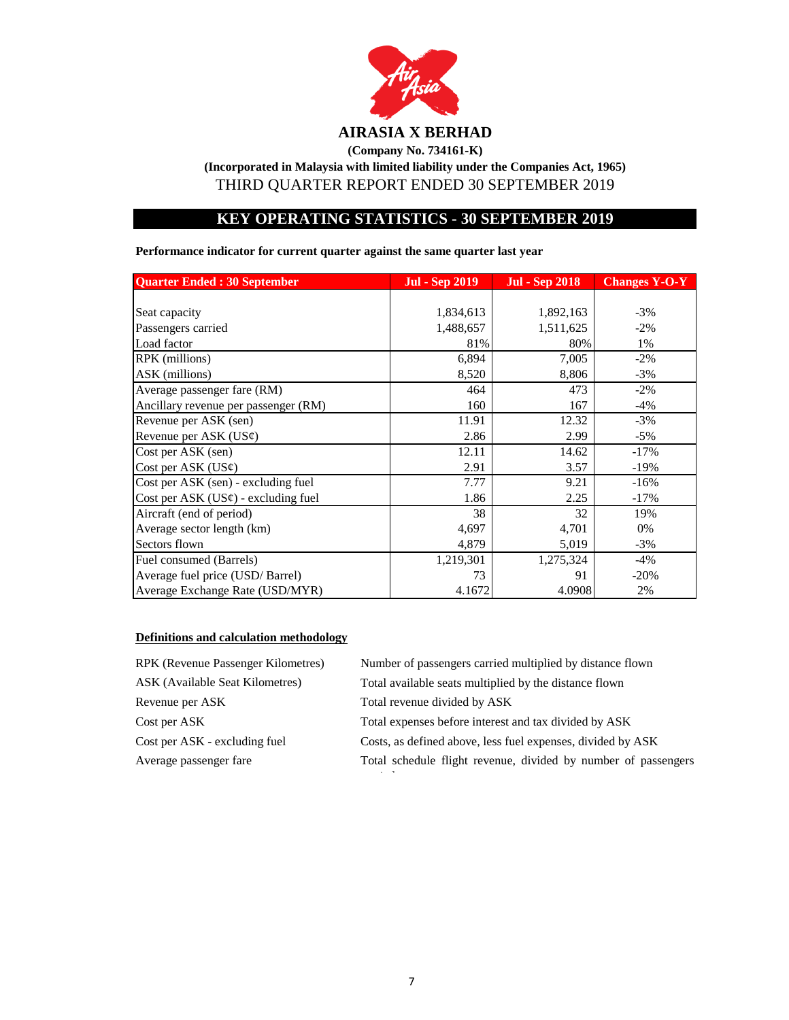

## **(Company No. 734161-K)**

**(Incorporated in Malaysia with limited liability under the Companies Act, 1965)** THIRD QUARTER REPORT ENDED 30 SEPTEMBER 2019

## **KEY OPERATING STATISTICS - 30 SEPTEMBER 2019**

**Performance indicator for current quarter against the same quarter last year**

| <b>Quarter Ended: 30 September</b>       | Jul - Sep 2019 | <b>Jul - Sep 2018</b> | <b>Changes Y-O-Y</b> |
|------------------------------------------|----------------|-----------------------|----------------------|
|                                          |                |                       |                      |
| Seat capacity                            | 1,834,613      | 1,892,163             | $-3%$                |
| Passengers carried                       | 1,488,657      | 1,511,625             | $-2\%$               |
| Load factor                              | 81%            | 80%                   | 1%                   |
| RPK (millions)                           | 6,894          | 7,005                 | $-2\%$               |
| ASK (millions)                           | 8,520          | 8,806                 | $-3%$                |
| Average passenger fare (RM)              | 464            | 473                   | $-2\%$               |
| Ancillary revenue per passenger (RM)     | 160            | 167                   | $-4%$                |
| Revenue per ASK (sen)                    | 11.91          | 12.32                 | $-3%$                |
| Revenue per ASK $(US\varphi)$            | 2.86           | 2.99                  | $-5%$                |
| Cost per ASK (sen)                       | 12.11          | 14.62                 | $-17%$               |
| Cost per ASK $(US\varphi)$               | 2.91           | 3.57                  | $-19%$               |
| Cost per ASK (sen) - excluding fuel      | 7.77           | 9.21                  | $-16%$               |
| Cost per ASK $(US\phi)$ - excluding fuel | 1.86           | 2.25                  | $-17%$               |
| Aircraft (end of period)                 | 38             | 32                    | 19%                  |
| Average sector length (km)               | 4,697          | 4,701                 | 0%                   |
| Sectors flown                            | 4,879          | 5,019                 | $-3\%$               |
| Fuel consumed (Barrels)                  | 1,219,301      | 1,275,324             | $-4%$                |
| Average fuel price (USD/Barrel)          | 73             | 91                    | $-20%$               |
| Average Exchange Rate (USD/MYR)          | 4.1672         | 4.0908                | 2%                   |

## **Definitions and calculation methodology**

| RPK (Revenue Passenger Kilometres) | Number of passengers carried multiplied by distance flown      |
|------------------------------------|----------------------------------------------------------------|
| ASK (Available Seat Kilometres)    | Total available seats multiplied by the distance flown         |
| Revenue per ASK                    | Total revenue divided by ASK                                   |
| Cost per ASK                       | Total expenses before interest and tax divided by ASK          |
| Cost per ASK - excluding fuel      | Costs, as defined above, less fuel expenses, divided by ASK    |
| Average passenger fare             | Total schedule flight revenue, divided by number of passengers |
|                                    |                                                                |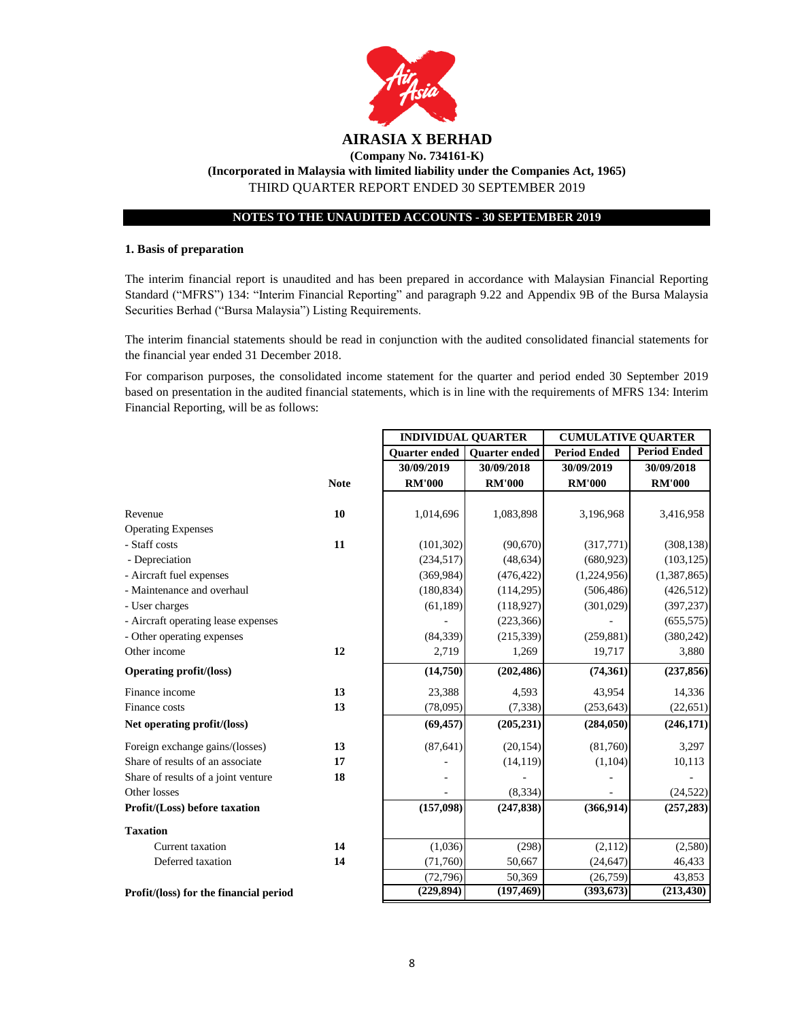

# **(Incorporated in Malaysia with limited liability under the Companies Act, 1965)**

THIRD QUARTER REPORT ENDED 30 SEPTEMBER 2019

### **NOTES TO THE UNAUDITED ACCOUNTS - 30 SEPTEMBER 2019**

#### **1. Basis of preparation**

The interim financial report is unaudited and has been prepared in accordance with Malaysian Financial Reporting Standard ("MFRS") 134: "Interim Financial Reporting" and paragraph 9.22 and Appendix 9B of the Bursa Malaysia Securities Berhad ("Bursa Malaysia") Listing Requirements.

The interim financial statements should be read in conjunction with the audited consolidated financial statements for the financial year ended 31 December 2018.

For comparison purposes, the consolidated income statement for the quarter and period ended 30 September 2019 based on presentation in the audited financial statements, which is in line with the requirements of MFRS 134: Interim Financial Reporting, will be as follows:

|                                        |             | <b>INDIVIDUAL QUARTER</b> |                      | <b>CUMULATIVE QUARTER</b> |                     |  |
|----------------------------------------|-------------|---------------------------|----------------------|---------------------------|---------------------|--|
|                                        |             | <b>Quarter ended</b>      | <b>Ouarter</b> ended | <b>Period Ended</b>       | <b>Period Ended</b> |  |
|                                        |             | 30/09/2019                | 30/09/2018           | 30/09/2019                | 30/09/2018          |  |
|                                        | <b>Note</b> | <b>RM'000</b>             | <b>RM'000</b>        | <b>RM'000</b>             | <b>RM'000</b>       |  |
|                                        |             |                           |                      |                           |                     |  |
| Revenue                                | 10          | 1,014,696                 | 1,083,898            | 3,196,968                 | 3,416,958           |  |
| <b>Operating Expenses</b>              |             |                           |                      |                           |                     |  |
| - Staff costs                          | 11          | (101, 302)                | (90,670)             | (317,771)                 | (308, 138)          |  |
| - Depreciation                         |             | (234, 517)                | (48, 634)            | (680, 923)                | (103, 125)          |  |
| - Aircraft fuel expenses               |             | (369, 984)                | (476, 422)           | (1,224,956)               | (1,387,865)         |  |
| - Maintenance and overhaul             |             | (180, 834)                | (114, 295)           | (506, 486)                | (426,512)           |  |
| - User charges                         |             | (61, 189)                 | (118,927)            | (301, 029)                | (397, 237)          |  |
| - Aircraft operating lease expenses    |             |                           | (223, 366)           |                           | (655, 575)          |  |
| - Other operating expenses             |             | (84, 339)                 | (215, 339)           | (259, 881)                | (380, 242)          |  |
| Other income                           | 12          | 2,719                     | 1,269                | 19,717                    | 3,880               |  |
| <b>Operating profit/(loss)</b>         |             | (14,750)                  | (202, 486)           | (74, 361)                 | (237, 856)          |  |
| Finance income                         | 13          | 23,388                    | 4,593                | 43,954                    | 14,336              |  |
| Finance costs                          | 13          | (78,095)                  | (7, 338)             | (253, 643)                | (22, 651)           |  |
| Net operating profit/(loss)            |             | (69, 457)                 | (205, 231)           | (284, 050)                | (246, 171)          |  |
| Foreign exchange gains/(losses)        | 13          | (87, 641)                 | (20, 154)            | (81,760)                  | 3,297               |  |
| Share of results of an associate       | 17          |                           | (14, 119)            | (1, 104)                  | 10,113              |  |
| Share of results of a joint venture    | 18          |                           |                      |                           |                     |  |
| Other losses                           |             |                           | (8, 334)             |                           | (24, 522)           |  |
| Profit/(Loss) before taxation          |             | (157,098)                 | (247, 838)           | (366, 914)                | (257, 283)          |  |
| <b>Taxation</b>                        |             |                           |                      |                           |                     |  |
| Current taxation                       | 14          | (1,036)                   | (298)                | (2,112)                   | (2,580)             |  |
| Deferred taxation                      | 14          | (71,760)                  | 50,667               | (24, 647)                 | 46,433              |  |
|                                        |             | (72, 796)                 | 50,369               | (26,759)                  | 43,853              |  |
| Profit/(loss) for the financial period |             | (229, 894)                | (197, 469)           | (393, 673)                | (213, 430)          |  |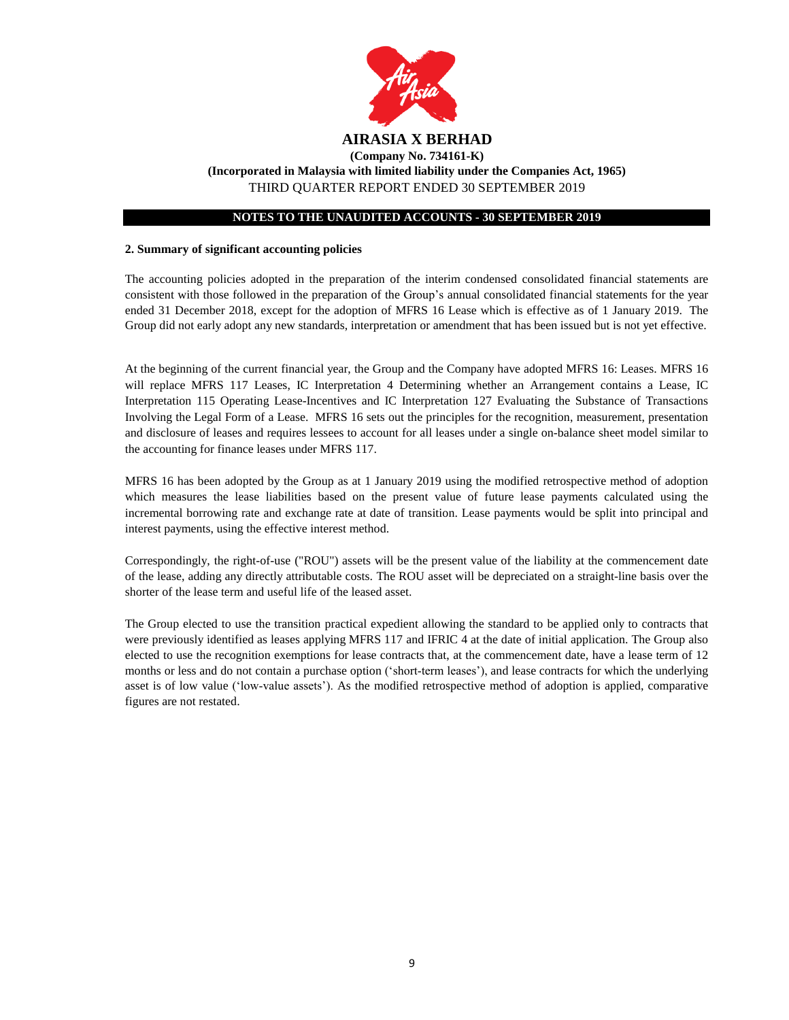

#### **NOTES TO THE UNAUDITED ACCOUNTS - 30 SEPTEMBER 2019**

#### **2. Summary of significant accounting policies**

The accounting policies adopted in the preparation of the interim condensed consolidated financial statements are consistent with those followed in the preparation of the Group's annual consolidated financial statements for the year ended 31 December 2018, except for the adoption of MFRS 16 Lease which is effective as of 1 January 2019. The Group did not early adopt any new standards, interpretation or amendment that has been issued but is not yet effective.

At the beginning of the current financial year, the Group and the Company have adopted MFRS 16: Leases. MFRS 16 will replace MFRS 117 Leases, IC Interpretation 4 Determining whether an Arrangement contains a Lease, IC Interpretation 115 Operating Lease-Incentives and IC Interpretation 127 Evaluating the Substance of Transactions Involving the Legal Form of a Lease. MFRS 16 sets out the principles for the recognition, measurement, presentation and disclosure of leases and requires lessees to account for all leases under a single on-balance sheet model similar to the accounting for finance leases under MFRS 117.

MFRS 16 has been adopted by the Group as at 1 January 2019 using the modified retrospective method of adoption which measures the lease liabilities based on the present value of future lease payments calculated using the incremental borrowing rate and exchange rate at date of transition. Lease payments would be split into principal and interest payments, using the effective interest method.

Correspondingly, the right-of-use ("ROU") assets will be the present value of the liability at the commencement date of the lease, adding any directly attributable costs. The ROU asset will be depreciated on a straight-line basis over the shorter of the lease term and useful life of the leased asset.

The Group elected to use the transition practical expedient allowing the standard to be applied only to contracts that were previously identified as leases applying MFRS 117 and IFRIC 4 at the date of initial application. The Group also elected to use the recognition exemptions for lease contracts that, at the commencement date, have a lease term of 12 months or less and do not contain a purchase option ('short-term leases'), and lease contracts for which the underlying asset is of low value ('low-value assets'). As the modified retrospective method of adoption is applied, comparative figures are not restated.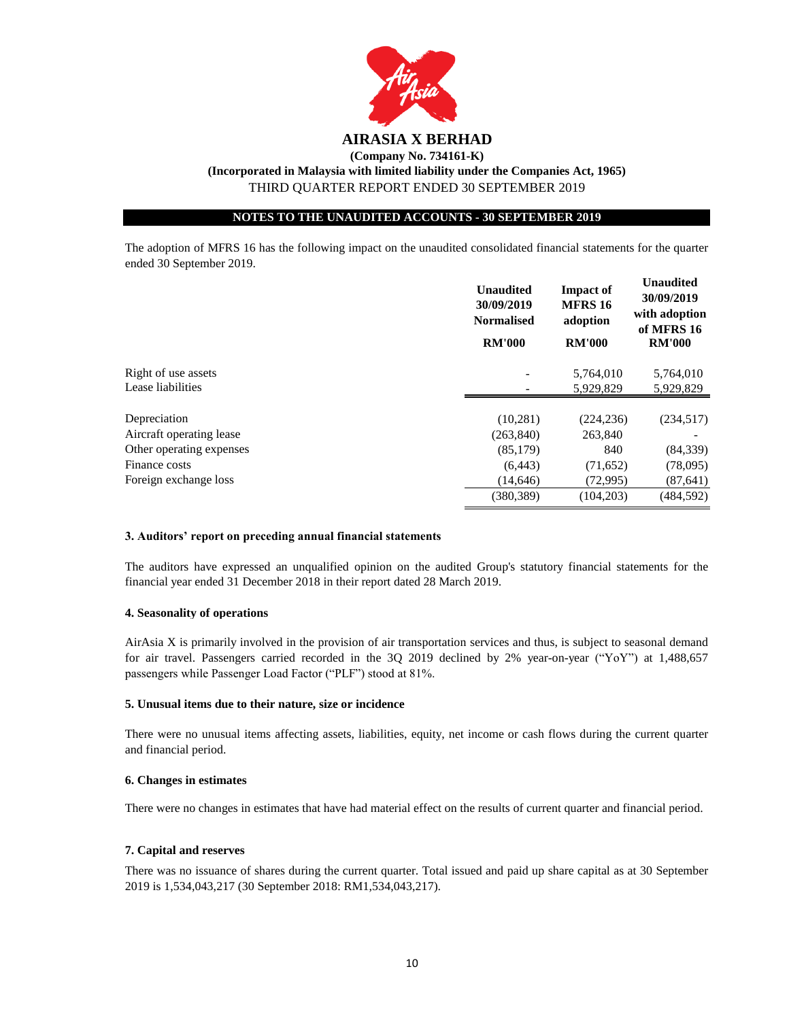

#### **NOTES TO THE UNAUDITED ACCOUNTS - 30 SEPTEMBER 2019**

The adoption of MFRS 16 has the following impact on the unaudited consolidated financial statements for the quarter ended 30 September 2019.

|                          | <b>Unaudited</b><br>30/09/2019<br><b>Normalised</b><br><b>RM'000</b> | <b>Impact of</b><br><b>MFRS 16</b><br>adoption<br><b>RM'000</b> | <b>Unaudited</b><br>30/09/2019<br>with adoption<br>of MFRS 16<br><b>RM'000</b> |
|--------------------------|----------------------------------------------------------------------|-----------------------------------------------------------------|--------------------------------------------------------------------------------|
| Right of use assets      |                                                                      | 5,764,010                                                       | 5,764,010                                                                      |
| Lease liabilities        |                                                                      | 5,929,829                                                       | 5,929,829                                                                      |
|                          |                                                                      |                                                                 |                                                                                |
| Depreciation             | (10,281)                                                             | (224, 236)                                                      | (234,517)                                                                      |
| Aircraft operating lease | (263, 840)                                                           | 263,840                                                         |                                                                                |
| Other operating expenses | (85,179)                                                             | 840                                                             | (84, 339)                                                                      |
| Finance costs            | (6, 443)                                                             | (71,652)                                                        | (78,095)                                                                       |
| Foreign exchange loss    | (14, 646)                                                            | (72,995)                                                        | (87, 641)                                                                      |
|                          | (380, 389)                                                           | (104, 203)                                                      | (484, 592)                                                                     |

#### **3. Auditors' report on preceding annual financial statements**

The auditors have expressed an unqualified opinion on the audited Group's statutory financial statements for the financial year ended 31 December 2018 in their report dated 28 March 2019.

#### **4. Seasonality of operations**

AirAsia X is primarily involved in the provision of air transportation services and thus, is subject to seasonal demand for air travel. Passengers carried recorded in the 3Q 2019 declined by 2% year-on-year ("YoY") at 1,488,657 passengers while Passenger Load Factor ("PLF") stood at 81%.

#### **5. Unusual items due to their nature, size or incidence**

There were no unusual items affecting assets, liabilities, equity, net income or cash flows during the current quarter and financial period.

#### **6. Changes in estimates**

There were no changes in estimates that have had material effect on the results of current quarter and financial period.

#### **7. Capital and reserves**

There was no issuance of shares during the current quarter. Total issued and paid up share capital as at 30 September 2019 is 1,534,043,217 (30 September 2018: RM1,534,043,217).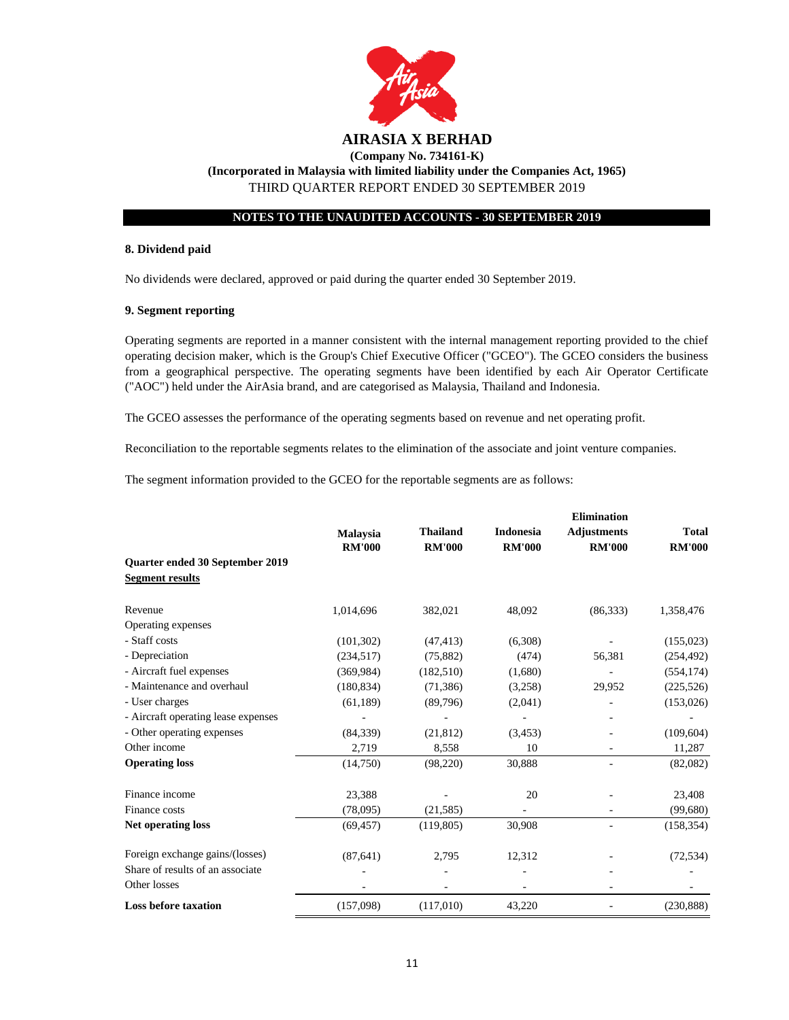

THIRD QUARTER REPORT ENDED 30 SEPTEMBER 2019

#### **NOTES TO THE UNAUDITED ACCOUNTS - 30 SEPTEMBER 2019**

#### **8. Dividend paid**

No dividends were declared, approved or paid during the quarter ended 30 September 2019.

#### **9. Segment reporting**

Operating segments are reported in a manner consistent with the internal management reporting provided to the chief operating decision maker, which is the Group's Chief Executive Officer ("GCEO"). The GCEO considers the business from a geographical perspective. The operating segments have been identified by each Air Operator Certificate ("AOC") held under the AirAsia brand, and are categorised as Malaysia, Thailand and Indonesia.

The GCEO assesses the performance of the operating segments based on revenue and net operating profit.

Reconciliation to the reportable segments relates to the elimination of the associate and joint venture companies.

The segment information provided to the GCEO for the reportable segments are as follows:

|                                                           | <b>Malaysia</b> | <b>Thailand</b> | <b>Indonesia</b> | <b>Elimination</b><br><b>Adjustments</b> | <b>Total</b>  |
|-----------------------------------------------------------|-----------------|-----------------|------------------|------------------------------------------|---------------|
|                                                           | <b>RM'000</b>   | <b>RM'000</b>   | <b>RM'000</b>    | <b>RM'000</b>                            | <b>RM'000</b> |
| Quarter ended 30 September 2019<br><b>Segment results</b> |                 |                 |                  |                                          |               |
| Revenue                                                   | 1,014,696       | 382,021         | 48,092           | (86, 333)                                | 1,358,476     |
| Operating expenses                                        |                 |                 |                  |                                          |               |
| - Staff costs                                             | (101, 302)      | (47, 413)       | (6,308)          |                                          | (155, 023)    |
| - Depreciation                                            | (234, 517)      | (75, 882)       | (474)            | 56,381                                   | (254, 492)    |
| - Aircraft fuel expenses                                  | (369, 984)      | (182, 510)      | (1,680)          |                                          | (554, 174)    |
| - Maintenance and overhaul                                | (180, 834)      | (71, 386)       | (3,258)          | 29,952                                   | (225, 526)    |
| - User charges                                            | (61, 189)       | (89,796)        | (2,041)          |                                          | (153,026)     |
| - Aircraft operating lease expenses                       |                 |                 |                  |                                          |               |
| - Other operating expenses                                | (84, 339)       | (21, 812)       | (3, 453)         |                                          | (109, 604)    |
| Other income                                              | 2,719           | 8,558           | 10               |                                          | 11,287        |
| <b>Operating loss</b>                                     | (14,750)        | (98, 220)       | 30,888           |                                          | (82,082)      |
| Finance income                                            | 23,388          |                 | 20               |                                          | 23,408        |
| Finance costs                                             | (78,095)        | (21, 585)       |                  |                                          | (99,680)      |
| <b>Net operating loss</b>                                 | (69, 457)       | (119, 805)      | 30,908           |                                          | (158, 354)    |
| Foreign exchange gains/(losses)                           | (87, 641)       | 2,795           | 12,312           |                                          | (72, 534)     |
| Share of results of an associate                          |                 |                 |                  |                                          |               |
| Other losses                                              |                 |                 |                  |                                          |               |
| <b>Loss before taxation</b>                               | (157,098)       | (117,010)       | 43,220           |                                          | (230, 888)    |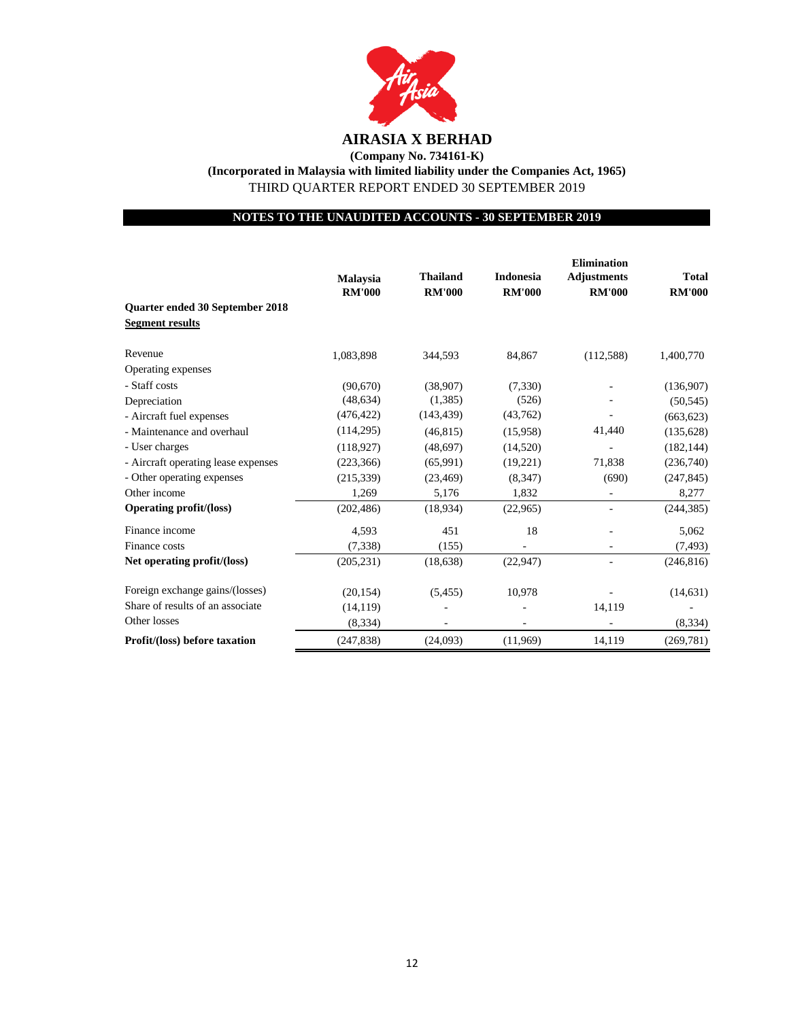

**(Company No. 734161-K) (Incorporated in Malaysia with limited liability under the Companies Act, 1965)** THIRD QUARTER REPORT ENDED 30 SEPTEMBER 2019

**NOTES TO THE UNAUDITED ACCOUNTS - 30 SEPTEMBER 2019**

|                                                           | <b>Malaysia</b><br><b>RM'000</b> | <b>Thailand</b><br><b>RM'000</b> | <b>Indonesia</b><br><b>RM'000</b> | <b>Elimination</b><br><b>Adjustments</b><br><b>RM'000</b> | <b>Total</b><br><b>RM'000</b> |
|-----------------------------------------------------------|----------------------------------|----------------------------------|-----------------------------------|-----------------------------------------------------------|-------------------------------|
| Quarter ended 30 September 2018<br><b>Segment results</b> |                                  |                                  |                                   |                                                           |                               |
| Revenue                                                   | 1,083,898                        | 344,593                          | 84,867                            | (112,588)                                                 | 1,400,770                     |
| Operating expenses                                        |                                  |                                  |                                   |                                                           |                               |
| - Staff costs                                             | (90.670)                         | (38,907)                         | (7,330)                           |                                                           | (136,907)                     |
| Depreciation                                              | (48, 634)                        | (1,385)                          | (526)                             |                                                           | (50, 545)                     |
| - Aircraft fuel expenses                                  | (476, 422)                       | (143, 439)                       | (43,762)                          |                                                           | (663, 623)                    |
| - Maintenance and overhaul                                | (114, 295)                       | (46, 815)                        | (15,958)                          | 41,440                                                    | (135, 628)                    |
| - User charges                                            | (118, 927)                       | (48, 697)                        | (14,520)                          |                                                           | (182, 144)                    |
| - Aircraft operating lease expenses                       | (223, 366)                       | (65,991)                         | (19,221)                          | 71,838                                                    | (236,740)                     |
| - Other operating expenses                                | (215, 339)                       | (23, 469)                        | (8,347)                           | (690)                                                     | (247, 845)                    |
| Other income                                              | 1,269                            | 5,176                            | 1,832                             | $\overline{\phantom{0}}$                                  | 8,277                         |
| <b>Operating profit/(loss)</b>                            | (202, 486)                       | (18,934)                         | (22,965)                          |                                                           | (244, 385)                    |
| Finance income                                            | 4,593                            | 451                              | 18                                |                                                           | 5,062                         |
| Finance costs                                             | (7, 338)                         | (155)                            |                                   |                                                           | (7, 493)                      |
| Net operating profit/(loss)                               | (205, 231)                       | (18, 638)                        | (22, 947)                         |                                                           | (246, 816)                    |
| Foreign exchange gains/(losses)                           | (20, 154)                        | (5, 455)                         | 10,978                            |                                                           | (14, 631)                     |
| Share of results of an associate                          | (14, 119)                        |                                  |                                   | 14,119                                                    |                               |
| Other losses                                              | (8, 334)                         |                                  |                                   |                                                           | (8, 334)                      |
| Profit/(loss) before taxation                             | (247, 838)                       | (24,093)                         | (11,969)                          | 14,119                                                    | (269,781)                     |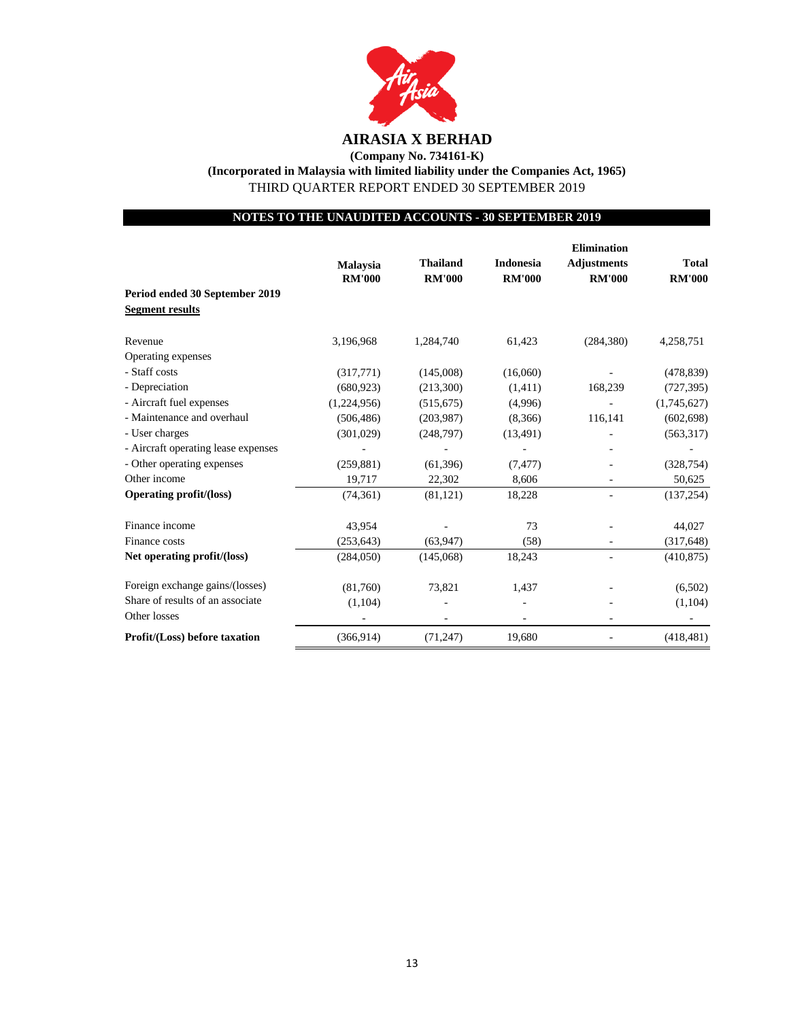

**(Company No. 734161-K) (Incorporated in Malaysia with limited liability under the Companies Act, 1965)** THIRD QUARTER REPORT ENDED 30 SEPTEMBER 2019

## **NOTES TO THE UNAUDITED ACCOUNTS - 30 SEPTEMBER 2019**

|                                      |               |                 |                  | <b>Elimination</b> |               |
|--------------------------------------|---------------|-----------------|------------------|--------------------|---------------|
|                                      | Malaysia      | <b>Thailand</b> | <b>Indonesia</b> | <b>Adjustments</b> | <b>Total</b>  |
|                                      | <b>RM'000</b> | <b>RM'000</b>   | <b>RM'000</b>    | <b>RM'000</b>      | <b>RM'000</b> |
| Period ended 30 September 2019       |               |                 |                  |                    |               |
| <b>Segment results</b>               |               |                 |                  |                    |               |
| Revenue                              | 3,196,968     | 1,284,740       | 61,423           | (284, 380)         | 4,258,751     |
| Operating expenses                   |               |                 |                  |                    |               |
| - Staff costs                        | (317,771)     | (145,008)       | (16,060)         |                    | (478, 839)    |
| - Depreciation                       | (680, 923)    | (213,300)       | (1,411)          | 168,239            | (727, 395)    |
| - Aircraft fuel expenses             | (1,224,956)   | (515, 675)      | (4,996)          |                    | (1,745,627)   |
| - Maintenance and overhaul           | (506, 486)    | (203,987)       | (8,366)          | 116,141            | (602, 698)    |
| - User charges                       | (301,029)     | (248,797)       | (13, 491)        |                    | (563,317)     |
| - Aircraft operating lease expenses  |               |                 |                  |                    |               |
| - Other operating expenses           | (259, 881)    | (61, 396)       | (7, 477)         |                    | (328, 754)    |
| Other income                         | 19,717        | 22,302          | 8,606            |                    | 50,625        |
| <b>Operating profit/(loss)</b>       | (74, 361)     | (81, 121)       | 18,228           |                    | (137, 254)    |
| Finance income                       | 43,954        |                 | 73               |                    | 44,027        |
| Finance costs                        | (253, 643)    | (63, 947)       | (58)             |                    | (317, 648)    |
| Net operating profit/(loss)          | (284,050)     | (145,068)       | 18,243           |                    | (410, 875)    |
| Foreign exchange gains/(losses)      | (81,760)      | 73,821          | 1,437            |                    | (6,502)       |
| Share of results of an associate     | (1,104)       |                 |                  |                    | (1,104)       |
| Other losses                         |               |                 |                  |                    |               |
| <b>Profit/(Loss)</b> before taxation | (366, 914)    | (71, 247)       | 19,680           |                    | (418, 481)    |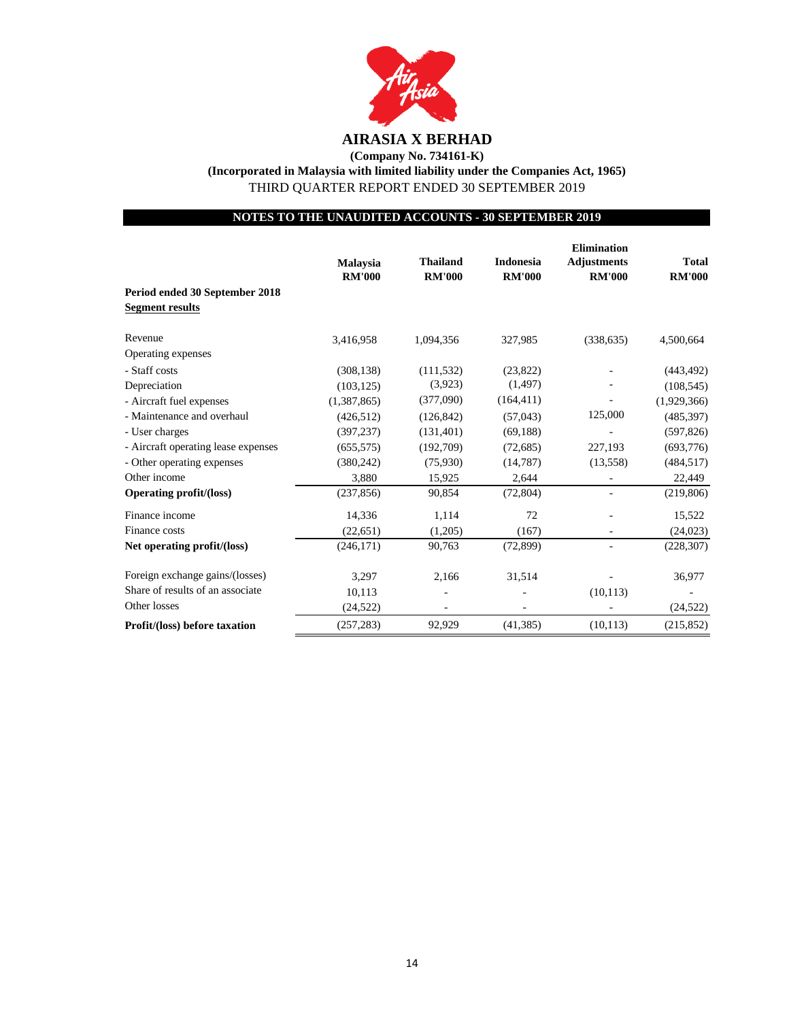

**(Company No. 734161-K) (Incorporated in Malaysia with limited liability under the Companies Act, 1965)** THIRD QUARTER REPORT ENDED 30 SEPTEMBER 2019

**NOTES TO THE UNAUDITED ACCOUNTS - 30 SEPTEMBER 2019**

|                                     |                 |                 |                  | <b>Elimination</b> |               |
|-------------------------------------|-----------------|-----------------|------------------|--------------------|---------------|
|                                     | <b>Malaysia</b> | <b>Thailand</b> | <b>Indonesia</b> | <b>Adjustments</b> | <b>Total</b>  |
|                                     | <b>RM'000</b>   | <b>RM'000</b>   | <b>RM'000</b>    | <b>RM'000</b>      | <b>RM'000</b> |
| Period ended 30 September 2018      |                 |                 |                  |                    |               |
| <b>Segment results</b>              |                 |                 |                  |                    |               |
| Revenue                             | 3,416,958       | 1,094,356       | 327,985          | (338, 635)         | 4,500,664     |
| Operating expenses                  |                 |                 |                  |                    |               |
| - Staff costs                       | (308, 138)      | (111, 532)      | (23,822)         |                    | (443, 492)    |
| Depreciation                        | (103, 125)      | (3,923)         | (1, 497)         |                    | (108, 545)    |
| - Aircraft fuel expenses            | (1,387,865)     | (377,090)       | (164, 411)       |                    | (1,929,366)   |
| - Maintenance and overhaul          | (426, 512)      | (126, 842)      | (57,043)         | 125,000            | (485, 397)    |
| - User charges                      | (397, 237)      | (131, 401)      | (69, 188)        |                    | (597, 826)    |
| - Aircraft operating lease expenses | (655, 575)      | (192,709)       | (72,685)         | 227,193            | (693, 776)    |
| - Other operating expenses          | (380, 242)      | (75,930)        | (14, 787)        | (13, 558)          | (484, 517)    |
| Other income                        | 3,880           | 15,925          | 2,644            |                    | 22,449        |
| <b>Operating profit/(loss)</b>      | (237, 856)      | 90,854          | (72, 804)        |                    | (219, 806)    |
| Finance income                      | 14,336          | 1,114           | 72               |                    | 15,522        |
| Finance costs                       | (22, 651)       | (1,205)         | (167)            |                    | (24, 023)     |
| Net operating profit/(loss)         | (246, 171)      | 90,763          | (72, 899)        |                    | (228, 307)    |
| Foreign exchange gains/(losses)     | 3,297           | 2,166           | 31,514           |                    | 36,977        |
| Share of results of an associate    | 10,113          |                 |                  | (10, 113)          |               |
| Other losses                        | (24, 522)       |                 |                  |                    | (24, 522)     |
| Profit/(loss) before taxation       | (257, 283)      | 92,929          | (41, 385)        | (10, 113)          | (215, 852)    |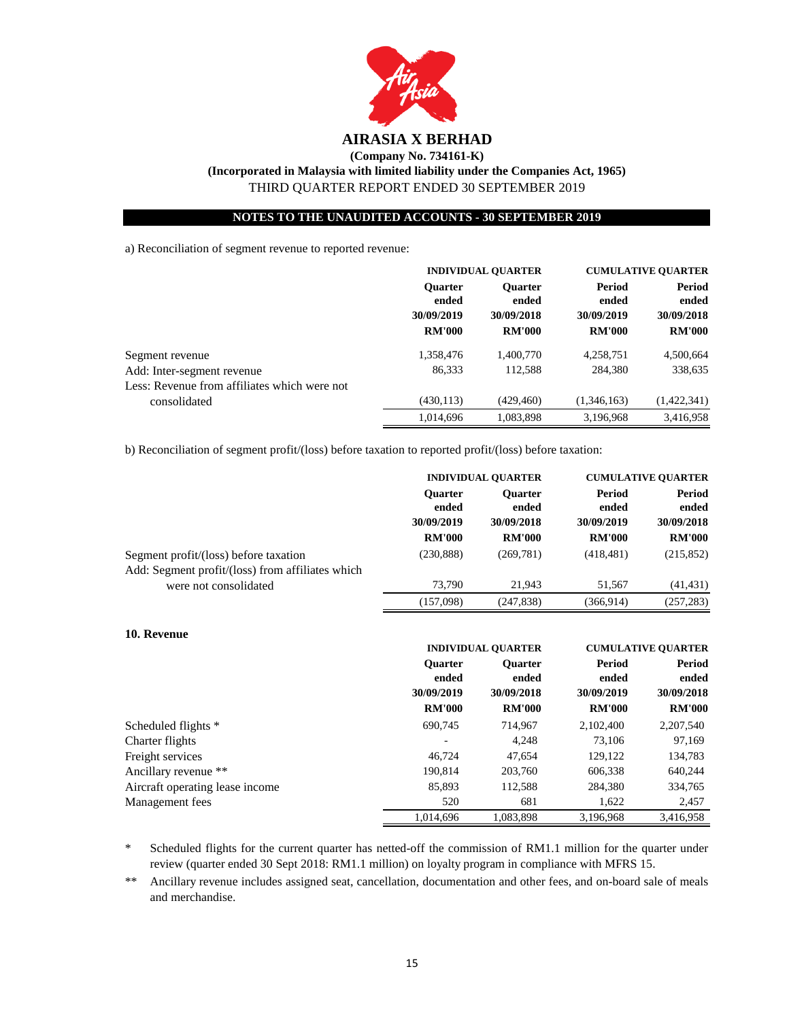

**NOTES TO THE UNAUDITED ACCOUNTS - 30 SEPTEMBER 2019**

a) Reconciliation of segment revenue to reported revenue:

|                                              | <b>INDIVIDUAL QUARTER</b>            |                                                                              | <b>CUMULATIVE QUARTER</b> |                             |
|----------------------------------------------|--------------------------------------|------------------------------------------------------------------------------|---------------------------|-----------------------------|
|                                              | <b>Ouarter</b>                       | <b>Ouarter</b>                                                               | <b>Period</b>             | <b>Period</b>               |
|                                              | ended<br>30/09/2019<br><b>RM'000</b> | ended<br>ended<br>30/09/2018<br>30/09/2019<br><b>RM'000</b><br><b>RM'000</b> |                           | ended                       |
|                                              |                                      |                                                                              |                           | 30/09/2018<br><b>RM'000</b> |
|                                              |                                      |                                                                              |                           |                             |
| Segment revenue                              | 1,358,476                            | 1,400,770                                                                    | 4,258,751                 | 4,500,664                   |
| Add: Inter-segment revenue                   | 86,333                               | 112.588                                                                      | 284,380                   | 338,635                     |
| Less: Revenue from affiliates which were not |                                      |                                                                              |                           |                             |
| consolidated                                 | (430, 113)                           | (429, 460)                                                                   | (1,346,163)               | (1,422,341)                 |
|                                              | 1.014.696                            | 1.083.898                                                                    | 3.196.968                 | 3.416.958                   |

b) Reconciliation of segment profit/(loss) before taxation to reported profit/(loss) before taxation:

|                                                                                           | <b>INDIVIDUAL QUARTER</b>             |                                                   | <b>CUMULATIVE QUARTER</b> |                 |
|-------------------------------------------------------------------------------------------|---------------------------------------|---------------------------------------------------|---------------------------|-----------------|
|                                                                                           | <b>Ouarter</b><br>ended<br>30/09/2019 | <b>Period</b><br><b>Ouarter</b><br>ended<br>ended |                           | Period<br>ended |
|                                                                                           |                                       | 30/09/2018<br>30/09/2019                          |                           | 30/09/2018      |
|                                                                                           | <b>RM'000</b>                         | <b>RM'000</b>                                     | <b>RM'000</b>             | <b>RM'000</b>   |
| Segment profit/(loss) before taxation<br>Add: Segment profit/(loss) from affiliates which | (230, 888)                            | (269, 781)                                        | (418, 481)                | (215, 852)      |
| were not consolidated                                                                     | 73.790                                | 21.943                                            | 51.567                    | (41, 431)       |
|                                                                                           | (157,098)                             | (247, 838)                                        | (366, 914)                | (257, 283)      |

| 10. Revenue                     |                         |                                                     |                             |                               |  |
|---------------------------------|-------------------------|-----------------------------------------------------|-----------------------------|-------------------------------|--|
|                                 |                         | <b>INDIVIDUAL OUARTER</b>                           |                             | <b>CUMULATIVE OUARTER</b>     |  |
|                                 | <b>Ouarter</b><br>ended | <b>Ouarter</b><br>ended<br>30/09/2019<br>30/09/2018 | Period<br>ended             | Period<br>ended<br>30/09/2018 |  |
|                                 | <b>RM'000</b>           | <b>RM'000</b>                                       | 30/09/2019<br><b>RM'000</b> | <b>RM'000</b>                 |  |
| Scheduled flights *             | 690,745                 | 714,967                                             | 2,102,400                   | 2,207,540                     |  |
| Charter flights                 |                         | 4,248                                               | 73.106                      | 97,169                        |  |
| Freight services                | 46,724                  | 47,654                                              | 129,122                     | 134,783                       |  |
| Ancillary revenue **            | 190,814                 | 203,760                                             | 606.338                     | 640,244                       |  |
| Aircraft operating lease income | 85.893                  | 112,588                                             | 284.380                     | 334,765                       |  |
| Management fees                 | 520                     | 681                                                 | 1,622                       | 2,457                         |  |
|                                 | 1.014.696               | 1.083.898                                           | 3.196.968                   | 3.416.958                     |  |

\* Scheduled flights for the current quarter has netted-off the commission of RM1.1 million for the quarter under review (quarter ended 30 Sept 2018: RM1.1 million) on loyalty program in compliance with MFRS 15.

\*\* Ancillary revenue includes assigned seat, cancellation, documentation and other fees, and on-board sale of meals and merchandise.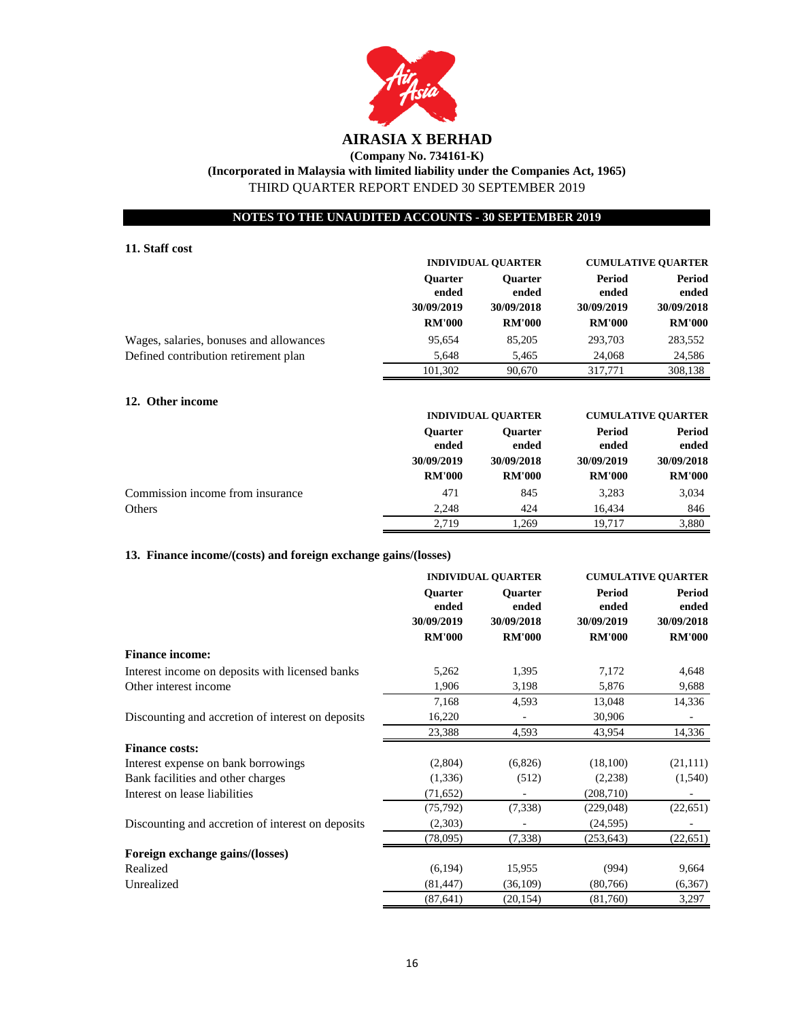

# **(Company No. 734161-K)**

**(Incorporated in Malaysia with limited liability under the Companies Act, 1965)** THIRD QUARTER REPORT ENDED 30 SEPTEMBER 2019

#### **NOTES TO THE UNAUDITED ACCOUNTS - 30 SEPTEMBER 2019**

#### **11. Staff cost**

|                                         | <b>INDIVIDUAL QUARTER</b>             |                          | <b>CUMULATIVE QUARTER</b> |                               |
|-----------------------------------------|---------------------------------------|--------------------------|---------------------------|-------------------------------|
|                                         | <b>Ouarter</b><br>ended<br>30/09/2019 | <b>Ouarter</b><br>ended  | Period<br>ended           | Period<br>ended<br>30/09/2018 |
|                                         |                                       | 30/09/2018<br>30/09/2019 |                           |                               |
|                                         | <b>RM'000</b>                         | <b>RM'000</b>            | <b>RM'000</b>             | <b>RM'000</b>                 |
| Wages, salaries, bonuses and allowances | 95,654                                | 85,205                   | 293,703                   | 283,552                       |
| Defined contribution retirement plan    | 5,648                                 | 5,465                    | 24,068                    | 24,586                        |
|                                         | 101,302                               | 90,670                   | 317.771                   | 308,138                       |

#### **12. Other income**

|                                  | <b>INDIVIDUAL QUARTER</b>   |                             | <b>CUMULATIVE QUARTER</b>   |                                                |
|----------------------------------|-----------------------------|-----------------------------|-----------------------------|------------------------------------------------|
|                                  | <b>Ouarter</b><br>ended     | <b>Ouarter</b><br>ended     | Period<br>ended             | Period<br>ended<br>30/09/2018<br><b>RM'000</b> |
|                                  | 30/09/2019<br><b>RM'000</b> | 30/09/2018<br><b>RM'000</b> | 30/09/2019<br><b>RM'000</b> |                                                |
|                                  |                             |                             |                             |                                                |
| Commission income from insurance | 471                         | 845                         | 3,283                       | 3,034                                          |
| Others                           | 2.248                       | 424                         | 16.434                      | 846                                            |
|                                  | 2.719                       | 1.269                       | 19.717                      | 3,880                                          |

#### **13. Finance income/(costs) and foreign exchange gains/(losses)**

|                                                   | <b>INDIVIDUAL QUARTER</b>                              |                                                        | <b>CUMULATIVE QUARTER</b>                             |                                                       |
|---------------------------------------------------|--------------------------------------------------------|--------------------------------------------------------|-------------------------------------------------------|-------------------------------------------------------|
|                                                   | <b>Ouarter</b><br>ended<br>30/09/2019<br><b>RM'000</b> | <b>Ouarter</b><br>ended<br>30/09/2018<br><b>RM'000</b> | <b>Period</b><br>ended<br>30/09/2019<br><b>RM'000</b> | <b>Period</b><br>ended<br>30/09/2018<br><b>RM'000</b> |
| <b>Finance income:</b>                            |                                                        |                                                        |                                                       |                                                       |
| Interest income on deposits with licensed banks   | 5,262                                                  | 1,395                                                  | 7,172                                                 | 4,648                                                 |
| Other interest income                             | 1,906                                                  | 3,198                                                  | 5,876                                                 | 9,688                                                 |
|                                                   | 7,168                                                  | 4,593                                                  | 13,048                                                | 14,336                                                |
| Discounting and accretion of interest on deposits | 16,220                                                 |                                                        | 30,906                                                |                                                       |
|                                                   | 23,388                                                 | 4,593                                                  | 43,954                                                | 14,336                                                |
| <b>Finance costs:</b>                             |                                                        |                                                        |                                                       |                                                       |
| Interest expense on bank borrowings               | (2,804)                                                | (6,826)                                                | (18,100)                                              | (21, 111)                                             |
| Bank facilities and other charges                 | (1, 336)                                               | (512)                                                  | (2,238)                                               | (1,540)                                               |
| Interest on lease liabilities                     | (71, 652)                                              |                                                        | (208, 710)                                            |                                                       |
|                                                   | (75, 792)                                              | (7,338)                                                | (229, 048)                                            | (22, 651)                                             |
| Discounting and accretion of interest on deposits | (2,303)                                                |                                                        | (24, 595)                                             |                                                       |
|                                                   | (78,095)                                               | (7,338)                                                | (253, 643)                                            | (22, 651)                                             |
| Foreign exchange gains/(losses)                   |                                                        |                                                        |                                                       |                                                       |
| Realized                                          | (6, 194)                                               | 15,955                                                 | (994)                                                 | 9,664                                                 |
| Unrealized                                        | (81, 447)                                              | (36, 109)                                              | (80, 766)                                             | (6,367)                                               |
|                                                   | (87, 641)                                              | (20, 154)                                              | (81,760)                                              | 3,297                                                 |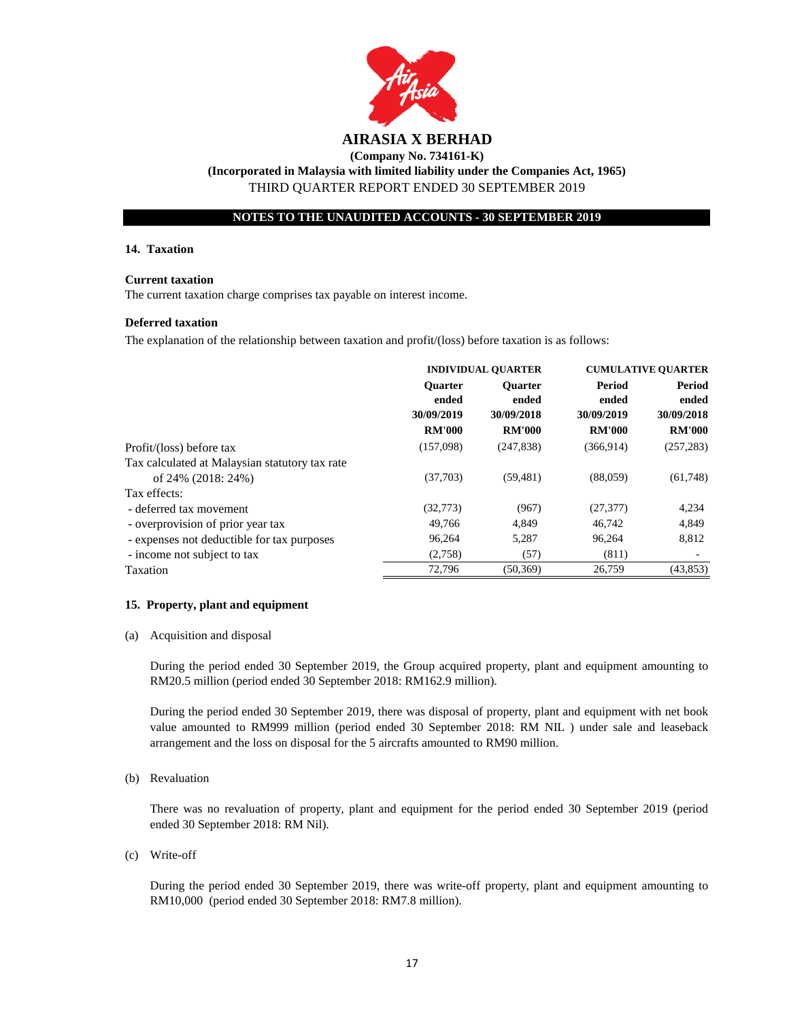

#### **NOTES TO THE UNAUDITED ACCOUNTS - 30 SEPTEMBER 2019**

#### **14. Taxation**

#### **Current taxation**

The current taxation charge comprises tax payable on interest income.

#### **Deferred taxation**

The explanation of the relationship between taxation and profit/(loss) before taxation is as follows:

|                                                | <b>INDIVIDUAL QUARTER</b>                              |                                                        | <b>CUMULATIVE QUARTER</b>                      |                                                |
|------------------------------------------------|--------------------------------------------------------|--------------------------------------------------------|------------------------------------------------|------------------------------------------------|
|                                                | <b>Ouarter</b><br>ended<br>30/09/2019<br><b>RM'000</b> | <b>Ouarter</b><br>ended<br>30/09/2018<br><b>RM'000</b> | Period<br>ended<br>30/09/2019<br><b>RM'000</b> | Period<br>ended<br>30/09/2018<br><b>RM'000</b> |
| Profit/(loss) before tax                       | (157,098)                                              | (247, 838)                                             | (366, 914)                                     | (257, 283)                                     |
| Tax calculated at Malaysian statutory tax rate |                                                        |                                                        |                                                |                                                |
| of 24% (2018: 24%)                             | (37,703)                                               | (59, 481)                                              | (88,059)                                       | (61,748)                                       |
| Tax effects:                                   |                                                        |                                                        |                                                |                                                |
| - deferred tax movement                        | (32,773)                                               | (967)                                                  | (27, 377)                                      | 4,234                                          |
| - overprovision of prior year tax              | 49,766                                                 | 4,849                                                  | 46,742                                         | 4,849                                          |
| - expenses not deductible for tax purposes     | 96.264                                                 | 5,287                                                  | 96.264                                         | 8,812                                          |
| - income not subject to tax                    | (2,758)                                                | (57)                                                   | (811)                                          |                                                |
| Taxation                                       | 72,796                                                 | (50, 369)                                              | 26,759                                         | (43, 853)                                      |

#### **15. Property, plant and equipment**

(a) Acquisition and disposal

During the period ended 30 September 2019, the Group acquired property, plant and equipment amounting to RM20.5 million (period ended 30 September 2018: RM162.9 million).

During the period ended 30 September 2019, there was disposal of property, plant and equipment with net book value amounted to RM999 million (period ended 30 September 2018: RM NIL ) under sale and leaseback arrangement and the loss on disposal for the 5 aircrafts amounted to RM90 million.

#### (b) Revaluation

There was no revaluation of property, plant and equipment for the period ended 30 September 2019 (period ended 30 September 2018: RM Nil).

(c) Write-off

During the period ended 30 September 2019, there was write-off property, plant and equipment amounting to RM10,000 (period ended 30 September 2018: RM7.8 million).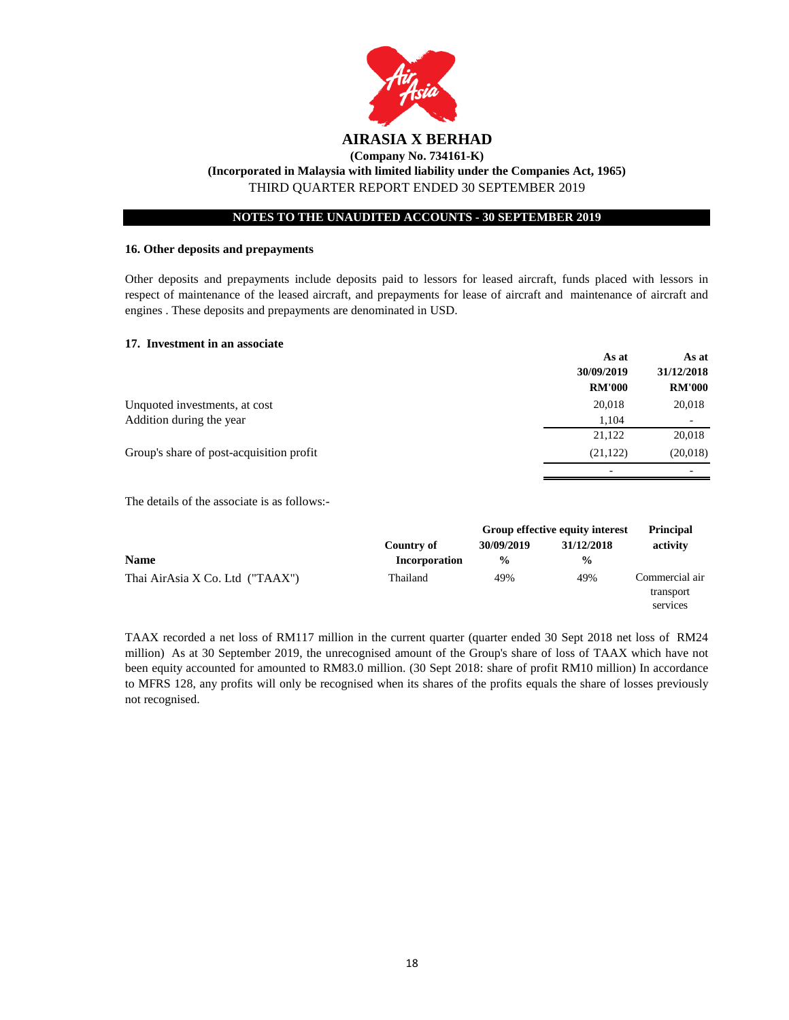

#### **NOTES TO THE UNAUDITED ACCOUNTS - 30 SEPTEMBER 2019**

#### **16. Other deposits and prepayments**

Other deposits and prepayments include deposits paid to lessors for leased aircraft, funds placed with lessors in respect of maintenance of the leased aircraft, and prepayments for lease of aircraft and maintenance of aircraft and engines . These deposits and prepayments are denominated in USD.

#### **17. Investment in an associate**

|                                          | As at         | As at                    |
|------------------------------------------|---------------|--------------------------|
|                                          | 30/09/2019    | 31/12/2018               |
|                                          | <b>RM'000</b> | <b>RM'000</b>            |
| Unquoted investments, at cost            | 20,018        | 20,018                   |
| Addition during the year                 | 1,104         | $\overline{\phantom{0}}$ |
|                                          | 21,122        | 20,018                   |
| Group's share of post-acquisition profit | (21, 122)     | (20,018)                 |
|                                          |               |                          |

The details of the associate is as follows:-

|                                 |               | Group effective equity interest |               | <b>Principal</b>                        |  |
|---------------------------------|---------------|---------------------------------|---------------|-----------------------------------------|--|
|                                 | Country of    | 30/09/2019                      | 31/12/2018    | activity                                |  |
| <b>Name</b>                     | Incorporation | $\frac{0}{0}$                   | $\frac{6}{9}$ |                                         |  |
| Thai AirAsia X Co. Ltd ("TAAX") | Thailand      | 49%                             | 49%           | Commercial air<br>transport<br>services |  |

TAAX recorded a net loss of RM117 million in the current quarter (quarter ended 30 Sept 2018 net loss of RM24 million) As at 30 September 2019, the unrecognised amount of the Group's share of loss of TAAX which have not been equity accounted for amounted to RM83.0 million. (30 Sept 2018: share of profit RM10 million) In accordance to MFRS 128, any profits will only be recognised when its shares of the profits equals the share of losses previously not recognised.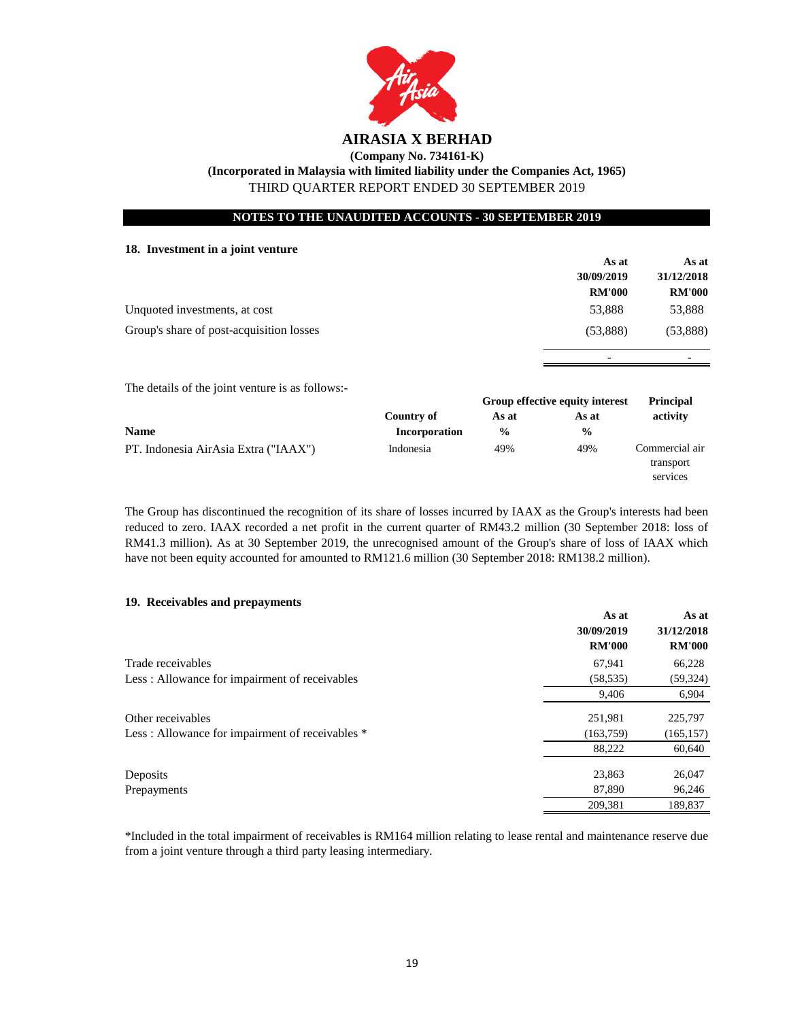

**(Company No. 734161-K)**

**(Incorporated in Malaysia with limited liability under the Companies Act, 1965)**

THIRD QUARTER REPORT ENDED 30 SEPTEMBER 2019

#### **NOTES TO THE UNAUDITED ACCOUNTS - 30 SEPTEMBER 2019**

## **18. Investment in a joint venture**

|                                                  |                                    |               | As at                                    | As at                                   |
|--------------------------------------------------|------------------------------------|---------------|------------------------------------------|-----------------------------------------|
|                                                  |                                    |               | 30/09/2019<br><b>RM'000</b>              | 31/12/2018<br><b>RM'000</b>             |
| Unquoted investments, at cost                    |                                    |               | 53,888                                   | 53,888                                  |
| Group's share of post-acquisition losses         |                                    |               | (53,888)                                 | (53,888)                                |
|                                                  |                                    |               |                                          |                                         |
| The details of the joint venture is as follows:- |                                    |               |                                          |                                         |
|                                                  |                                    | As at         | Group effective equity interest<br>As at | <b>Principal</b>                        |
| <b>Name</b>                                      | Country of<br><b>Incorporation</b> | $\frac{6}{9}$ | $\frac{0}{0}$                            | activity                                |
| PT. Indonesia AirAsia Extra ("IAAX")             | Indonesia                          | 49%           | 49%                                      | Commercial air<br>transport<br>services |

The Group has discontinued the recognition of its share of losses incurred by IAAX as the Group's interests had been reduced to zero. IAAX recorded a net profit in the current quarter of RM43.2 million (30 September 2018: loss of RM41.3 million). As at 30 September 2019, the unrecognised amount of the Group's share of loss of IAAX which have not been equity accounted for amounted to RM121.6 million (30 September 2018: RM138.2 million).

#### **19. Receivables and prepayments**

|                                                 | As at         | As at         |
|-------------------------------------------------|---------------|---------------|
|                                                 | 30/09/2019    | 31/12/2018    |
|                                                 | <b>RM'000</b> | <b>RM'000</b> |
| Trade receivables                               | 67,941        | 66,228        |
| Less: Allowance for impairment of receivables   | (58, 535)     | (59, 324)     |
|                                                 | 9,406         | 6,904         |
| Other receivables                               | 251,981       | 225,797       |
| Less: Allowance for impairment of receivables * | (163, 759)    | (165, 157)    |
|                                                 | 88,222        | 60,640        |
| Deposits                                        | 23,863        | 26,047        |
| Prepayments                                     | 87,890        | 96,246        |
|                                                 | 209.381       | 189,837       |

\*Included in the total impairment of receivables is RM164 million relating to lease rental and maintenance reserve due from a joint venture through a third party leasing intermediary.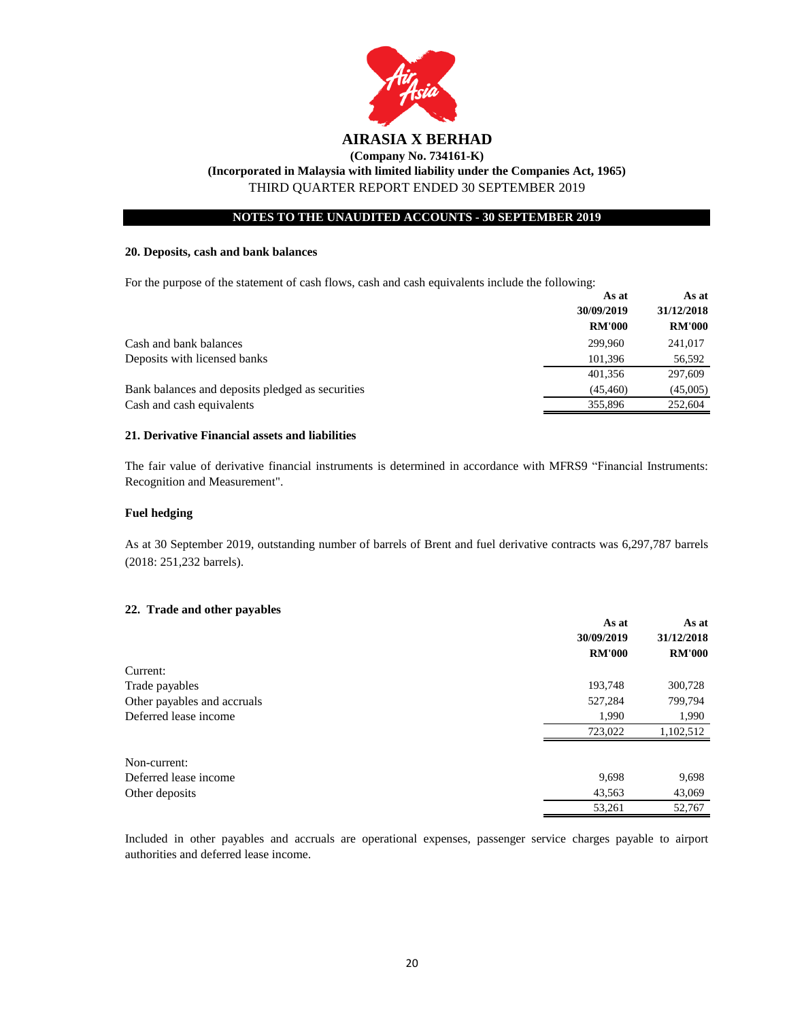

#### **NOTES TO THE UNAUDITED ACCOUNTS - 30 SEPTEMBER 2019**

#### **20. Deposits, cash and bank balances**

For the purpose of the statement of cash flows, cash and cash equivalents include the following:

|                                                  | As at         | As at         |
|--------------------------------------------------|---------------|---------------|
|                                                  | 30/09/2019    | 31/12/2018    |
|                                                  | <b>RM'000</b> | <b>RM'000</b> |
| Cash and bank balances                           | 299,960       | 241,017       |
| Deposits with licensed banks                     | 101.396       | 56,592        |
|                                                  | 401.356       | 297,609       |
| Bank balances and deposits pledged as securities | (45, 460)     | (45,005)      |
| Cash and cash equivalents                        | 355,896       | 252,604       |

#### **21. Derivative Financial assets and liabilities**

The fair value of derivative financial instruments is determined in accordance with MFRS9 "Financial Instruments: Recognition and Measurement".

#### **Fuel hedging**

As at 30 September 2019, outstanding number of barrels of Brent and fuel derivative contracts was 6,297,787 barrels (2018: 251,232 barrels).

#### **22. Trade and other payables**

|                             | As at         | As at<br>31/12/2018 |
|-----------------------------|---------------|---------------------|
|                             | 30/09/2019    |                     |
|                             | <b>RM'000</b> | <b>RM'000</b>       |
| Current:                    |               |                     |
| Trade payables              | 193,748       | 300,728             |
| Other payables and accruals | 527,284       | 799,794             |
| Deferred lease income       | 1,990         | 1,990               |
|                             | 723,022       | 1,102,512           |
| Non-current:                |               |                     |
| Deferred lease income       | 9,698         | 9,698               |
| Other deposits              | 43,563        | 43,069              |
|                             | 53,261        | 52,767              |

Included in other payables and accruals are operational expenses, passenger service charges payable to airport authorities and deferred lease income.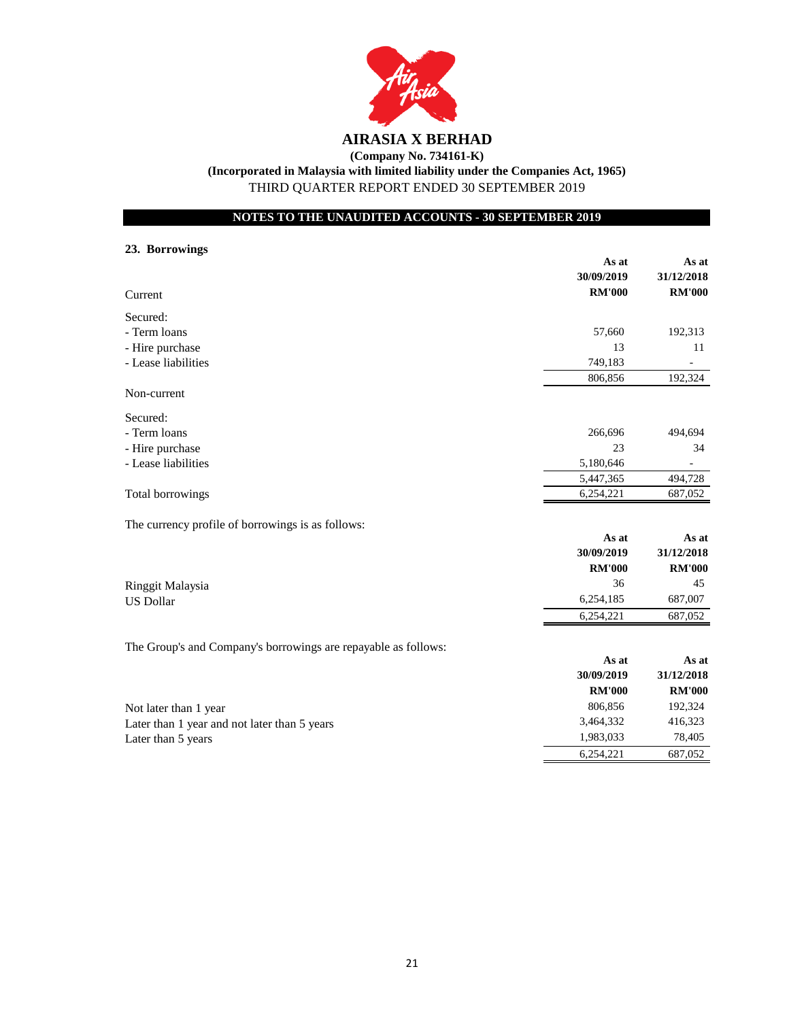

**(Company No. 734161-K)**

**(Incorporated in Malaysia with limited liability under the Companies Act, 1965)**

THIRD QUARTER REPORT ENDED 30 SEPTEMBER 2019

**NOTES TO THE UNAUDITED ACCOUNTS - 30 SEPTEMBER 2019**

## **23. Borrowings**

|                                                                | As at         | As at         |
|----------------------------------------------------------------|---------------|---------------|
|                                                                | 30/09/2019    | 31/12/2018    |
| Current                                                        | <b>RM'000</b> | <b>RM'000</b> |
| Secured:                                                       |               |               |
| - Term loans                                                   | 57,660        | 192,313       |
| - Hire purchase                                                | 13            | 11            |
| - Lease liabilities                                            | 749,183       |               |
|                                                                | 806,856       | 192,324       |
| Non-current                                                    |               |               |
| Secured:                                                       |               |               |
| - Term loans                                                   | 266,696       | 494,694       |
| - Hire purchase                                                | 23            | 34            |
| - Lease liabilities                                            | 5,180,646     |               |
|                                                                | 5,447,365     | 494,728       |
| Total borrowings                                               | 6,254,221     | 687,052       |
| The currency profile of borrowings is as follows:              |               |               |
|                                                                | As at         | As at         |
|                                                                | 30/09/2019    | 31/12/2018    |
|                                                                | <b>RM'000</b> | <b>RM'000</b> |
| Ringgit Malaysia                                               | 36            | 45            |
| <b>US Dollar</b>                                               | 6,254,185     | 687,007       |
|                                                                | 6,254,221     | 687,052       |
| The Group's and Company's borrowings are repayable as follows: |               |               |
|                                                                | As at         | As at         |
|                                                                | 30/09/2019    | 31/12/2018    |
|                                                                | <b>RM'000</b> | <b>RM'000</b> |
| Not later than 1 year                                          | 806,856       | 192,324       |
| Later than 1 year and not later than 5 years                   | 3,464,332     | 416,323       |
| Later than 5 years                                             | 1,983,033     | 78,405        |
|                                                                | 6,254,221     | 687,052       |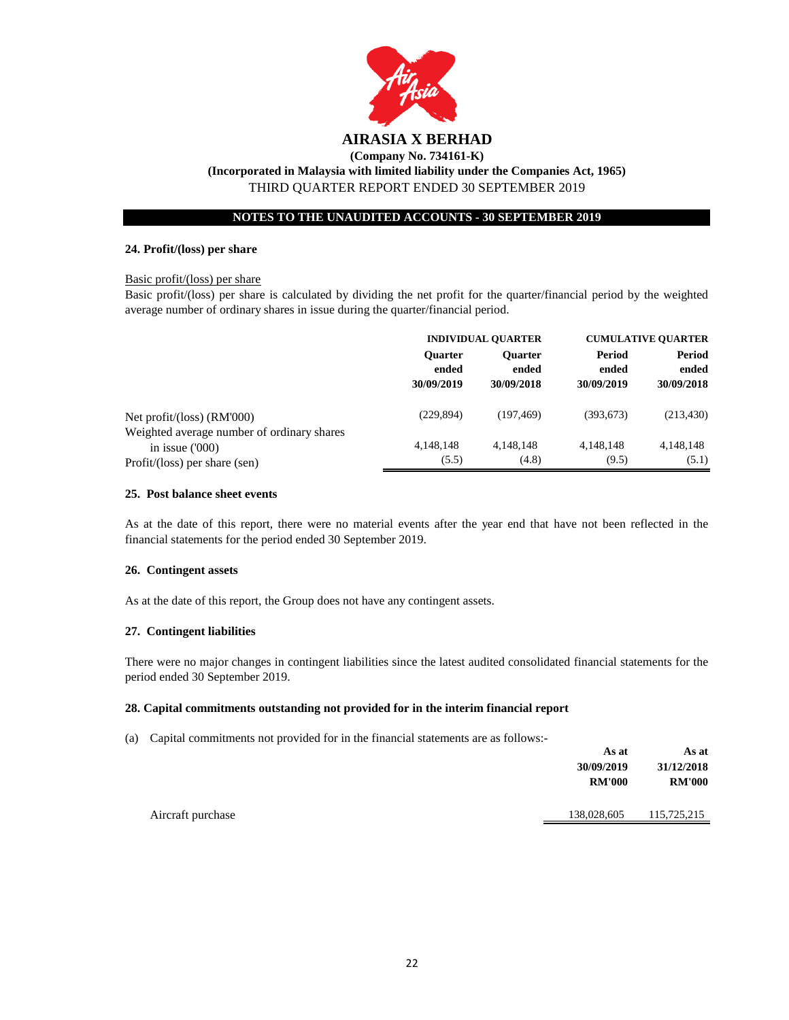

## **NOTES TO THE UNAUDITED ACCOUNTS - 30 SEPTEMBER 2019**

#### **24. Profit/(loss) per share**

#### Basic profit/(loss) per share

Basic profit/(loss) per share is calculated by dividing the net profit for the quarter/financial period by the weighted average number of ordinary shares in issue during the quarter/financial period.

|                                                                            | <b>INDIVIDUAL QUARTER</b> |                | <b>CUMULATIVE QUARTER</b> |            |
|----------------------------------------------------------------------------|---------------------------|----------------|---------------------------|------------|
|                                                                            | <b>Ouarter</b>            | <b>Ouarter</b> | Period                    | Period     |
|                                                                            | ended                     | ended          | ended                     | ended      |
|                                                                            | 30/09/2019                | 30/09/2018     | 30/09/2019                | 30/09/2018 |
| Net profit/(loss) $(RM'000)$<br>Weighted average number of ordinary shares | (229, 894)                | (197, 469)     | (393, 673)                | (213, 430) |
| in issue $(000)$                                                           | 4,148,148                 | 4,148,148      | 4,148,148                 | 4,148,148  |
| Profit/(loss) per share (sen)                                              | (5.5)                     | (4.8)          | (9.5)                     | (5.1)      |

#### **25. Post balance sheet events**

As at the date of this report, there were no material events after the year end that have not been reflected in the financial statements for the period ended 30 September 2019.

#### **26. Contingent assets**

As at the date of this report, the Group does not have any contingent assets.

#### **27. Contingent liabilities**

There were no major changes in contingent liabilities since the latest audited consolidated financial statements for the period ended 30 September 2019.

#### **28. Capital commitments outstanding not provided for in the interim financial report**

(a) Capital commitments not provided for in the financial statements are as follows:-

|                   | As at         | As at         |
|-------------------|---------------|---------------|
|                   | 30/09/2019    | 31/12/2018    |
|                   | <b>RM'000</b> | <b>RM'000</b> |
|                   |               |               |
| Aircraft purchase | 138,028,605   | 115,725,215   |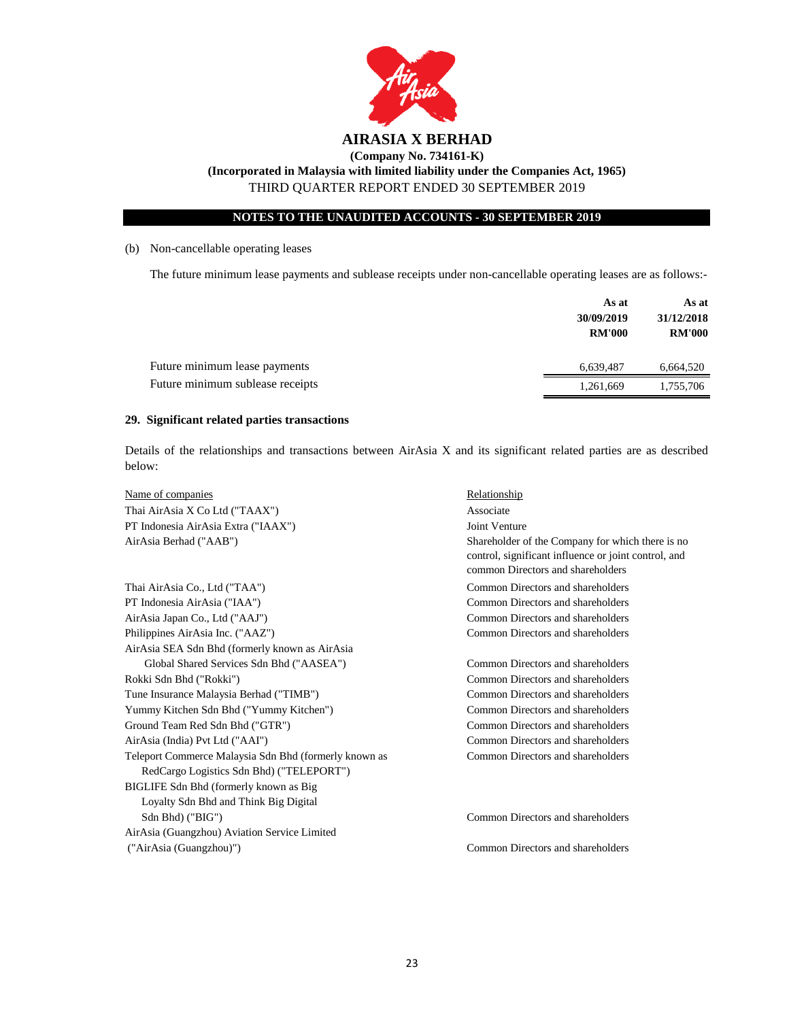

#### **NOTES TO THE UNAUDITED ACCOUNTS - 30 SEPTEMBER 2019**

#### (b) Non-cancellable operating leases

The future minimum lease payments and sublease receipts under non-cancellable operating leases are as follows:-

|                                  | As at<br>30/09/2019<br><b>RM'000</b> | As at<br>31/12/2018<br><b>RM'000</b> |
|----------------------------------|--------------------------------------|--------------------------------------|
| Future minimum lease payments    | 6,639,487                            | 6,664,520                            |
| Future minimum sublease receipts | 1,261,669                            | 1,755,706                            |

#### **29. Significant related parties transactions**

Details of the relationships and transactions between AirAsia X and its significant related parties are as described below:

| Name of companies                                                                                 | Relationship                                                                                                                                  |
|---------------------------------------------------------------------------------------------------|-----------------------------------------------------------------------------------------------------------------------------------------------|
| Thai AirAsia X Co Ltd ("TAAX")                                                                    | Associate                                                                                                                                     |
| PT Indonesia AirAsia Extra ("IAAX")                                                               | Joint Venture                                                                                                                                 |
| AirAsia Berhad ("AAB")                                                                            | Shareholder of the Company for which there is no<br>control, significant influence or joint control, and<br>common Directors and shareholders |
| Thai AirAsia Co., Ltd ("TAA")                                                                     | Common Directors and shareholders                                                                                                             |
| PT Indonesia AirAsia ("IAA")                                                                      | Common Directors and shareholders                                                                                                             |
| AirAsia Japan Co., Ltd ("AAJ")                                                                    | Common Directors and shareholders                                                                                                             |
| Philippines AirAsia Inc. ("AAZ")                                                                  | Common Directors and shareholders                                                                                                             |
| AirAsia SEA Sdn Bhd (formerly known as AirAsia                                                    |                                                                                                                                               |
| Global Shared Services Sdn Bhd ("AASEA")                                                          | Common Directors and shareholders                                                                                                             |
| Rokki Sdn Bhd ("Rokki")                                                                           | Common Directors and shareholders                                                                                                             |
| Tune Insurance Malaysia Berhad ("TIMB")                                                           | Common Directors and shareholders                                                                                                             |
| Yummy Kitchen Sdn Bhd ("Yummy Kitchen")                                                           | Common Directors and shareholders                                                                                                             |
| Ground Team Red Sdn Bhd ("GTR")                                                                   | Common Directors and shareholders                                                                                                             |
| AirAsia (India) Pvt Ltd ("AAI")                                                                   | Common Directors and shareholders                                                                                                             |
| Teleport Commerce Malaysia Sdn Bhd (formerly known as<br>RedCargo Logistics Sdn Bhd) ("TELEPORT") | Common Directors and shareholders                                                                                                             |
| BIGLIFE Sdn Bhd (formerly known as Big)                                                           |                                                                                                                                               |
| Loyalty Sdn Bhd and Think Big Digital                                                             |                                                                                                                                               |
| Sdn Bhd) ("BIG")                                                                                  | Common Directors and shareholders                                                                                                             |
| AirAsia (Guangzhou) Aviation Service Limited                                                      |                                                                                                                                               |
| ("AirAsia (Guangzhou)")                                                                           | Common Directors and shareholders                                                                                                             |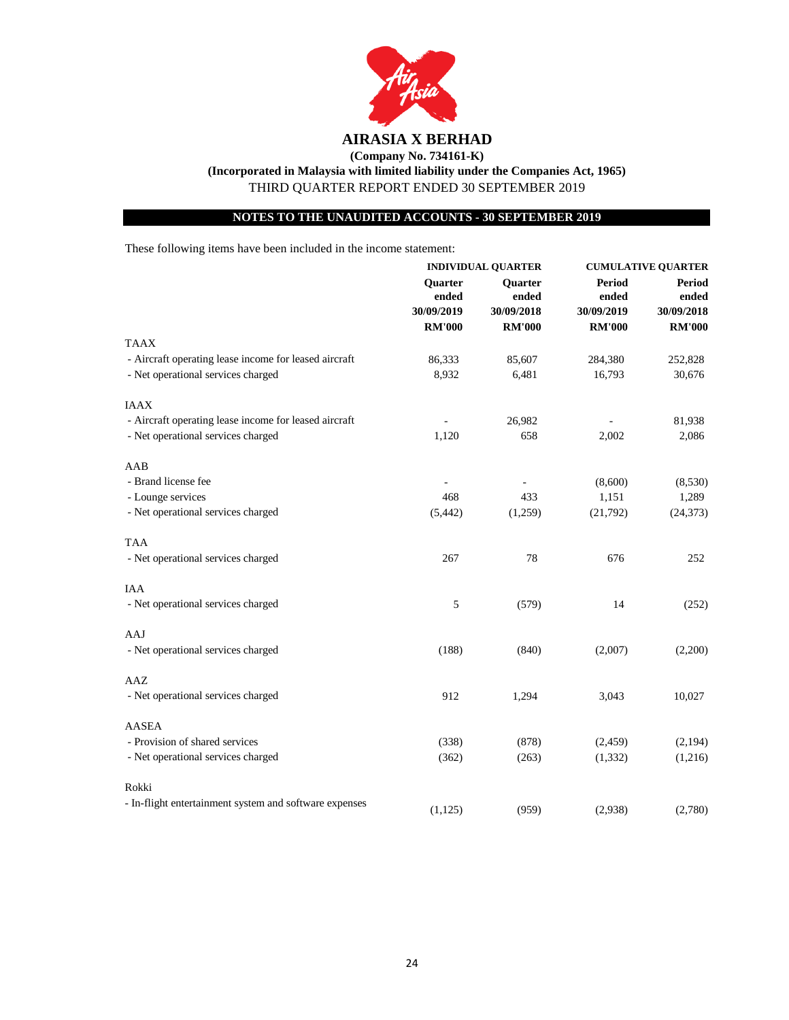

**NOTES TO THE UNAUDITED ACCOUNTS - 30 SEPTEMBER 2019**

These following items have been included in the income statement:

|                                                        | <b>INDIVIDUAL QUARTER</b>      |                                       | <b>CUMULATIVE QUARTER</b>            |                                      |
|--------------------------------------------------------|--------------------------------|---------------------------------------|--------------------------------------|--------------------------------------|
|                                                        | Quarter<br>ended<br>30/09/2019 | <b>Ouarter</b><br>ended<br>30/09/2018 | <b>Period</b><br>ended<br>30/09/2019 | <b>Period</b><br>ended<br>30/09/2018 |
|                                                        |                                |                                       |                                      |                                      |
|                                                        | <b>RM'000</b>                  | <b>RM'000</b>                         | <b>RM'000</b>                        | <b>RM'000</b>                        |
| <b>TAAX</b>                                            |                                |                                       |                                      |                                      |
| - Aircraft operating lease income for leased aircraft  | 86,333                         | 85,607                                | 284,380                              | 252,828                              |
| - Net operational services charged                     | 8,932                          | 6,481                                 | 16,793                               | 30,676                               |
| <b>IAAX</b>                                            |                                |                                       |                                      |                                      |
| - Aircraft operating lease income for leased aircraft  |                                | 26,982                                |                                      | 81,938                               |
| - Net operational services charged                     | 1,120                          | 658                                   | 2,002                                | 2,086                                |
| AAB                                                    |                                |                                       |                                      |                                      |
| - Brand license fee                                    |                                |                                       | (8,600)                              | (8,530)                              |
| - Lounge services                                      | 468                            | 433                                   | 1,151                                | 1,289                                |
| - Net operational services charged                     | (5, 442)                       | (1,259)                               | (21,792)                             | (24, 373)                            |
| TAA                                                    |                                |                                       |                                      |                                      |
| - Net operational services charged                     | 267                            | 78                                    | 676                                  | 252                                  |
| <b>IAA</b>                                             |                                |                                       |                                      |                                      |
| - Net operational services charged                     | 5                              | (579)                                 | 14                                   | (252)                                |
| AAJ                                                    |                                |                                       |                                      |                                      |
| - Net operational services charged                     | (188)                          | (840)                                 | (2,007)                              | (2,200)                              |
| AAZ                                                    |                                |                                       |                                      |                                      |
| - Net operational services charged                     | 912                            | 1,294                                 | 3,043                                | 10,027                               |
| <b>AASEA</b>                                           |                                |                                       |                                      |                                      |
| - Provision of shared services                         | (338)                          | (878)                                 | (2, 459)                             | (2,194)                              |
| - Net operational services charged                     | (362)                          | (263)                                 | (1, 332)                             | (1,216)                              |
| Rokki                                                  |                                |                                       |                                      |                                      |
| - In-flight entertainment system and software expenses | (1, 125)                       | (959)                                 | (2,938)                              | (2,780)                              |
|                                                        |                                |                                       |                                      |                                      |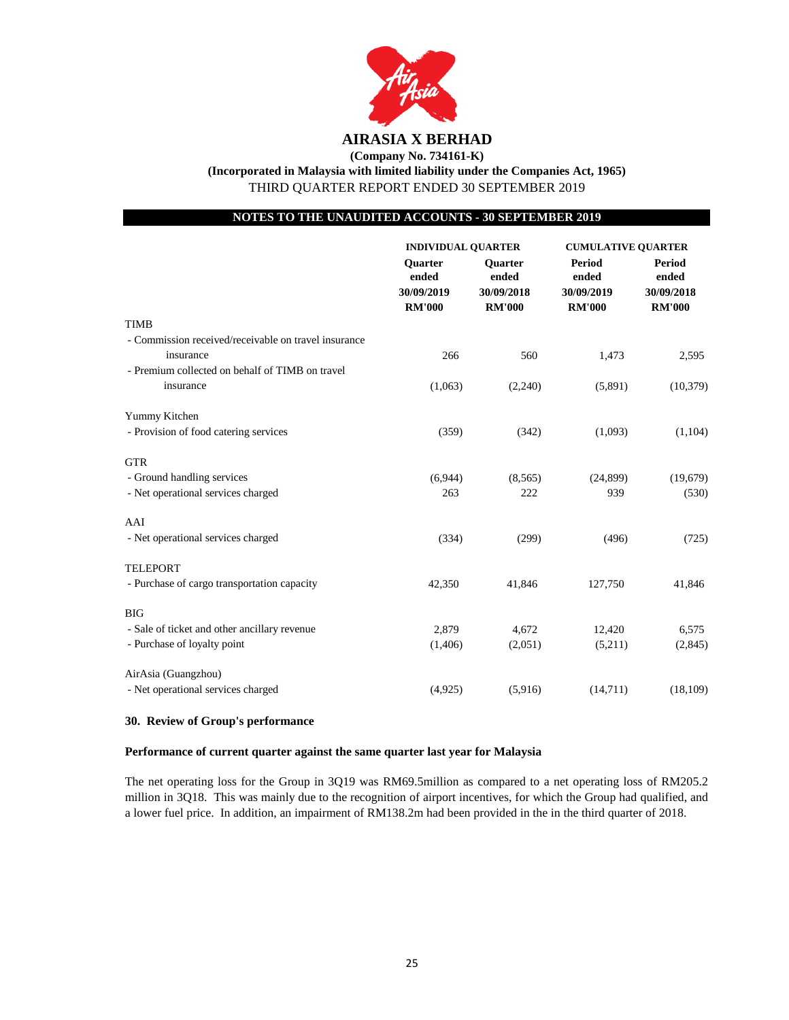

**(Company No. 734161-K) (Incorporated in Malaysia with limited liability under the Companies Act, 1965)** THIRD QUARTER REPORT ENDED 30 SEPTEMBER 2019

#### **NOTES TO THE UNAUDITED ACCOUNTS - 30 SEPTEMBER 2019**

|                                                      | <b>INDIVIDUAL QUARTER</b>                              |                                                        | <b>CUMULATIVE QUARTER</b>                             |                                                       |
|------------------------------------------------------|--------------------------------------------------------|--------------------------------------------------------|-------------------------------------------------------|-------------------------------------------------------|
|                                                      | <b>Ouarter</b><br>ended<br>30/09/2019<br><b>RM'000</b> | <b>Ouarter</b><br>ended<br>30/09/2018<br><b>RM'000</b> | <b>Period</b><br>ended<br>30/09/2019<br><b>RM'000</b> | <b>Period</b><br>ended<br>30/09/2018<br><b>RM'000</b> |
| <b>TIMB</b>                                          |                                                        |                                                        |                                                       |                                                       |
| - Commission received/receivable on travel insurance |                                                        |                                                        |                                                       |                                                       |
| insurance                                            | 266                                                    | 560                                                    | 1,473                                                 | 2,595                                                 |
| - Premium collected on behalf of TIMB on travel      |                                                        |                                                        |                                                       |                                                       |
| insurance                                            | (1,063)                                                | (2,240)                                                | (5,891)                                               | (10, 379)                                             |
| Yummy Kitchen                                        |                                                        |                                                        |                                                       |                                                       |
| - Provision of food catering services                | (359)                                                  | (342)                                                  | (1,093)                                               | (1,104)                                               |
| <b>GTR</b>                                           |                                                        |                                                        |                                                       |                                                       |
| - Ground handling services                           | (6,944)                                                | (8,565)                                                | (24, 899)                                             | (19,679)                                              |
| - Net operational services charged                   | 263                                                    | 222                                                    | 939                                                   | (530)                                                 |
| AAI                                                  |                                                        |                                                        |                                                       |                                                       |
| - Net operational services charged                   | (334)                                                  | (299)                                                  | (496)                                                 | (725)                                                 |
| <b>TELEPORT</b>                                      |                                                        |                                                        |                                                       |                                                       |
| - Purchase of cargo transportation capacity          | 42,350                                                 | 41,846                                                 | 127,750                                               | 41,846                                                |
| <b>BIG</b>                                           |                                                        |                                                        |                                                       |                                                       |
| - Sale of ticket and other ancillary revenue         | 2,879                                                  | 4,672                                                  | 12,420                                                | 6,575                                                 |
| - Purchase of loyalty point                          | (1,406)                                                | (2,051)                                                | (5,211)                                               | (2,845)                                               |
| AirAsia (Guangzhou)                                  |                                                        |                                                        |                                                       |                                                       |
| - Net operational services charged                   | (4,925)                                                | (5,916)                                                | (14,711)                                              | (18, 109)                                             |

#### **30. Review of Group's performance**

#### **Performance of current quarter against the same quarter last year for Malaysia**

The net operating loss for the Group in 3Q19 was RM69.5million as compared to a net operating loss of RM205.2 million in 3Q18. This was mainly due to the recognition of airport incentives, for which the Group had qualified, and a lower fuel price. In addition, an impairment of RM138.2m had been provided in the in the third quarter of 2018.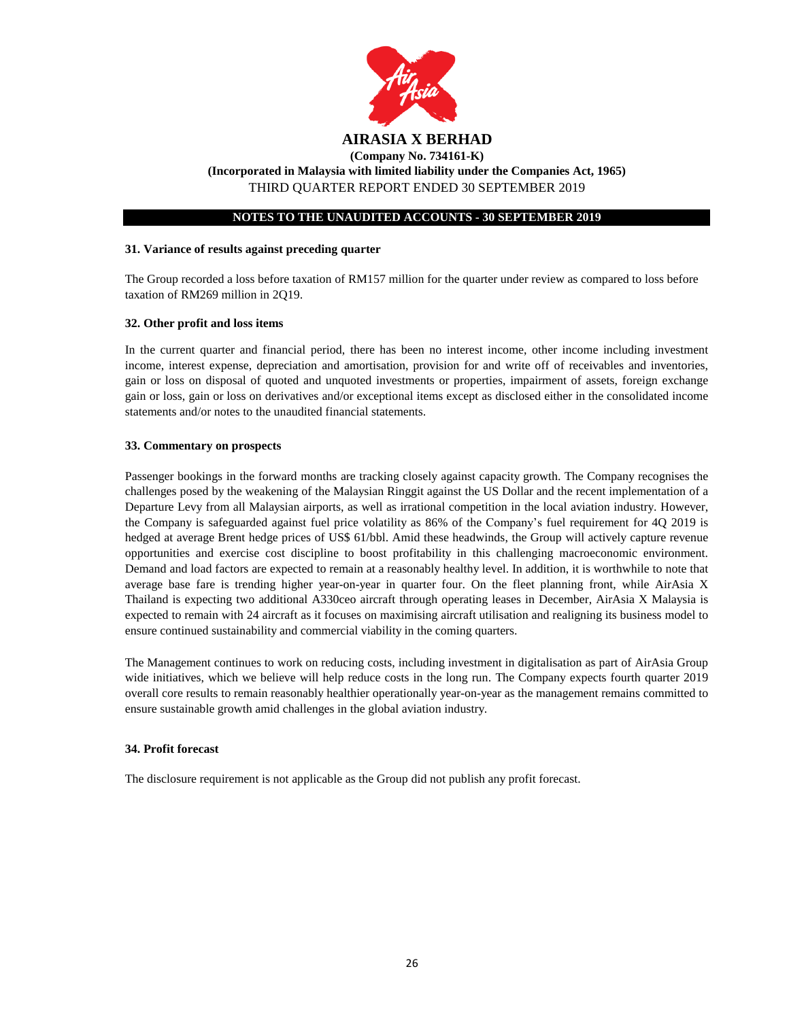

#### **NOTES TO THE UNAUDITED ACCOUNTS - 30 SEPTEMBER 2019**

#### **31. Variance of results against preceding quarter**

The Group recorded a loss before taxation of RM157 million for the quarter under review as compared to loss before taxation of RM269 million in 2Q19.

#### **32. Other profit and loss items**

In the current quarter and financial period, there has been no interest income, other income including investment income, interest expense, depreciation and amortisation, provision for and write off of receivables and inventories, gain or loss on disposal of quoted and unquoted investments or properties, impairment of assets, foreign exchange gain or loss, gain or loss on derivatives and/or exceptional items except as disclosed either in the consolidated income statements and/or notes to the unaudited financial statements.

#### **33. Commentary on prospects**

Passenger bookings in the forward months are tracking closely against capacity growth. The Company recognises the challenges posed by the weakening of the Malaysian Ringgit against the US Dollar and the recent implementation of a Departure Levy from all Malaysian airports, as well as irrational competition in the local aviation industry. However, the Company is safeguarded against fuel price volatility as 86% of the Company's fuel requirement for 4Q 2019 is hedged at average Brent hedge prices of US\$ 61/bbl. Amid these headwinds, the Group will actively capture revenue opportunities and exercise cost discipline to boost profitability in this challenging macroeconomic environment. Demand and load factors are expected to remain at a reasonably healthy level. In addition, it is worthwhile to note that average base fare is trending higher year-on-year in quarter four. On the fleet planning front, while AirAsia X Thailand is expecting two additional A330ceo aircraft through operating leases in December, AirAsia X Malaysia is expected to remain with 24 aircraft as it focuses on maximising aircraft utilisation and realigning its business model to ensure continued sustainability and commercial viability in the coming quarters.

The Management continues to work on reducing costs, including investment in digitalisation as part of AirAsia Group wide initiatives, which we believe will help reduce costs in the long run. The Company expects fourth quarter 2019 overall core results to remain reasonably healthier operationally year-on-year as the management remains committed to ensure sustainable growth amid challenges in the global aviation industry.

#### **34. Profit forecast**

The disclosure requirement is not applicable as the Group did not publish any profit forecast.